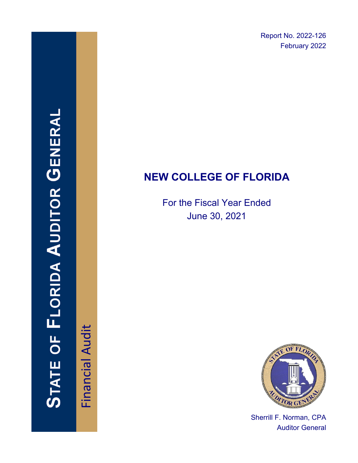Report No. 2022-126 February 2022

## **NEW COLLEGE OF FLORIDA**

For the Fiscal Year Ended June 30, 2021



Sherrill F. Norman, CPA Auditor General

Financial Audit Financial Audit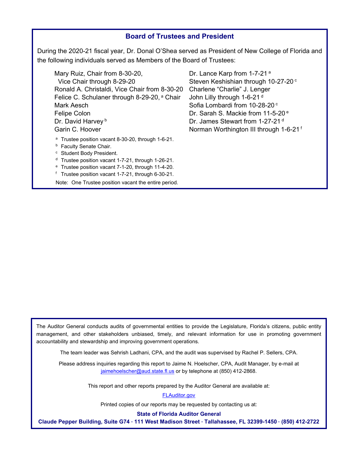#### **Board of Trustees and President**

During the 2020-21 fiscal year, Dr. Donal O'Shea served as President of New College of Florida and the following individuals served as Members of the Board of Trustees:

Mary Ruiz, Chair from 8-30-20, Dr. Lance Karp from 1-7-21<sup>a</sup> Vice Chair through 8-29-20 Steven Keshishian through 10-27-20 compared to the Steven Keshishian through 10-27-20 compared to the Steven Keshishian through 10-27-20 compared to the Steven Keshishian through 10-27-20 compare Ronald A. Christaldi, Vice Chair from 8-30-20 Charlene "Charlie" J. Lenger Felice C. Schulaner through 8-29-20, <sup>a</sup> Chair John Lilly through 1-6-21<sup>d</sup> Mark Aesch  $\,$  Mark Aesch $\,$  Sofia Lombardi from 10-28-20  $^{\circ}$ Felipe Colon **Dr.** Sarah S. Mackie from 11-5-20 <sup>e</sup> Dr. David Harvey b Dr. James Stewart from 1-27-21<sup>d</sup> Garin C. Hoover **Norman Worthington III through 1-6-21** f

- a Trustee position vacant 8-30-20, through 1-6-21.<br> **b** Faculty Senate Chair.<br>
c Student Body President.
- 
- 
- <sup>d</sup> Trustee position vacant 1-7-21, through 1-26-21.<br><sup>e</sup> Trustee position vacant 7-1-20, through 11-4-20.
- 
- Trustee position vacant 1-7-21, through 6-30-21.

Note: One Trustee position vacant the entire period.

The Auditor General conducts audits of governmental entities to provide the Legislature, Florida's citizens, public entity management, and other stakeholders unbiased, timely, and relevant information for use in promoting government accountability and stewardship and improving government operations.

The team leader was Sehrish Ladhani, CPA, and the audit was supervised by Rachel P. Sellers, CPA.

Please address inquiries regarding this report to Jaime N. Hoelscher, CPA, Audit Manager, by e-mail at jaimehoelscher@aud.state.fl.us or by telephone at (850) 412-2868.

This report and other reports prepared by the Auditor General are available at:

[FLAuditor.gov](http://flauditor.gov/) 

Printed copies of our reports may be requested by contacting us at:

**State of Florida Auditor General** 

**Claude Pepper Building, Suite G74 · 111 West Madison Street · Tallahassee, FL 32399-1450 · (850) 412-2722**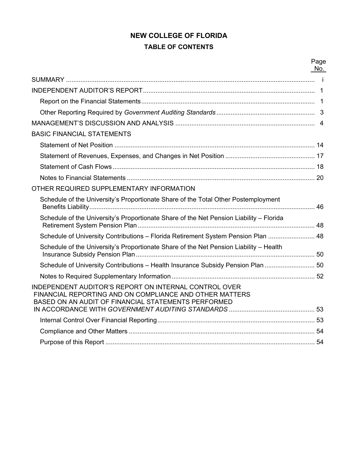## **NEW COLLEGE OF FLORIDA TABLE OF CONTENTS**

|                                                                                                                                                                         | Page<br>No. |
|-------------------------------------------------------------------------------------------------------------------------------------------------------------------------|-------------|
|                                                                                                                                                                         |             |
|                                                                                                                                                                         |             |
|                                                                                                                                                                         |             |
|                                                                                                                                                                         |             |
|                                                                                                                                                                         |             |
| <b>BASIC FINANCIAL STATEMENTS</b>                                                                                                                                       |             |
|                                                                                                                                                                         |             |
|                                                                                                                                                                         |             |
|                                                                                                                                                                         |             |
|                                                                                                                                                                         |             |
| OTHER REQUIRED SUPPLEMENTARY INFORMATION                                                                                                                                |             |
| Schedule of the University's Proportionate Share of the Total Other Postemployment                                                                                      |             |
| Schedule of the University's Proportionate Share of the Net Pension Liability - Florida                                                                                 |             |
| Schedule of University Contributions - Florida Retirement System Pension Plan  48                                                                                       |             |
| Schedule of the University's Proportionate Share of the Net Pension Liability - Health                                                                                  |             |
| Schedule of University Contributions - Health Insurance Subsidy Pension Plan  50                                                                                        |             |
|                                                                                                                                                                         |             |
| INDEPENDENT AUDITOR'S REPORT ON INTERNAL CONTROL OVER<br>FINANCIAL REPORTING AND ON COMPLIANCE AND OTHER MATTERS<br>BASED ON AN AUDIT OF FINANCIAL STATEMENTS PERFORMED |             |
|                                                                                                                                                                         |             |
|                                                                                                                                                                         |             |
|                                                                                                                                                                         |             |
|                                                                                                                                                                         |             |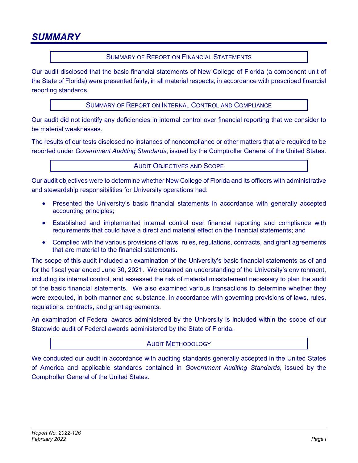#### SUMMARY OF REPORT ON FINANCIAL STATEMENTS

<span id="page-3-0"></span>Our audit disclosed that the basic financial statements of New College of Florida (a component unit of the State of Florida) were presented fairly, in all material respects, in accordance with prescribed financial reporting standards.

SUMMARY OF REPORT ON INTERNAL CONTROL AND COMPLIANCE

Our audit did not identify any deficiencies in internal control over financial reporting that we consider to be material weaknesses.

The results of our tests disclosed no instances of noncompliance or other matters that are required to be reported under *Government Auditing Standards*, issued by the Comptroller General of the United States.

#### AUDIT OBJECTIVES AND SCOPE

Our audit objectives were to determine whether New College of Florida and its officers with administrative and stewardship responsibilities for University operations had:

- Presented the University's basic financial statements in accordance with generally accepted accounting principles;
- Established and implemented internal control over financial reporting and compliance with requirements that could have a direct and material effect on the financial statements; and
- Complied with the various provisions of laws, rules, regulations, contracts, and grant agreements that are material to the financial statements.

The scope of this audit included an examination of the University's basic financial statements as of and for the fiscal year ended June 30, 2021. We obtained an understanding of the University's environment, including its internal control, and assessed the risk of material misstatement necessary to plan the audit of the basic financial statements. We also examined various transactions to determine whether they were executed, in both manner and substance, in accordance with governing provisions of laws, rules, regulations, contracts, and grant agreements.

An examination of Federal awards administered by the University is included within the scope of our Statewide audit of Federal awards administered by the State of Florida.

#### AUDIT METHODOLOGY

We conducted our audit in accordance with auditing standards generally accepted in the United States of America and applicable standards contained in *Government Auditing Standards*, issued by the Comptroller General of the United States.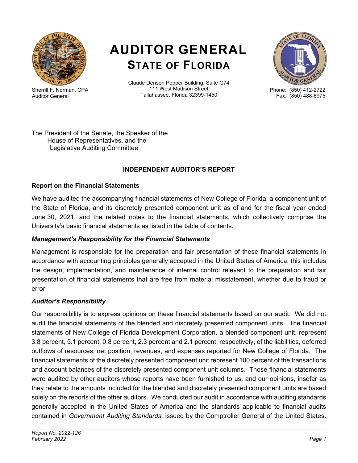<span id="page-4-0"></span>

Sherrill F. Norman, CPA Auditor General

# **AUDITOR GENERAL STATE OF FLORIDA**

Claude Denson Pepper Building, Suite G74 111 West Madison Street Tallahassee, Florida 32399-1450



Phone: (850) 412-2722 Fax: (850) 488-6975

The President of the Senate, the Speaker of the House of Representatives, and the Legislative Auditing Committee

## **INDEPENDENT AUDITOR'S REPORT**

#### **Report on the Financial Statements**

We have audited the accompanying financial statements of New College of Florida, a component unit of the State of Florida, and its discretely presented component unit as of and for the fiscal year ended June 30, 2021, and the related notes to the financial statements, which collectively comprise the University's basic financial statements as listed in the table of contents.

#### *Management's Responsibility for the Financial Statements*

Management is responsible for the preparation and fair presentation of these financial statements in accordance with accounting principles generally accepted in the United States of America; this includes the design, implementation, and maintenance of internal control relevant to the preparation and fair presentation of financial statements that are free from material misstatement, whether due to fraud or error.

## *Auditor's Responsibility*

Our responsibility is to express opinions on these financial statements based on our audit. We did not audit the financial statements of the blended and discretely presented component units. The financial statements of New College of Florida Development Corporation, a blended component unit, represent 3.8 percent, 5.1 percent, 0.8 percent, 2.3 percent and 2.1 percent, respectively, of the liabilities, deferred outflows of resources, net position, revenues, and expenses reported for New College of Florida. The financial statements of the discretely presented component unit represent 100 percent of the transactions and account balances of the discretely presented component unit columns. Those financial statements were audited by other auditors whose reports have been furnished to us, and our opinions, insofar as they relate to the amounts included for the blended and discretely presented component units are based solely on the reports of the other auditors. We conducted our audit in accordance with auditing standards generally accepted in the United States of America and the standards applicable to financial audits contained in *Government Auditing Standards*, issued by the Comptroller General of the United States.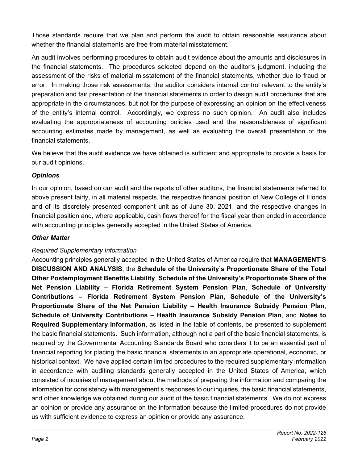Those standards require that we plan and perform the audit to obtain reasonable assurance about whether the financial statements are free from material misstatement.

An audit involves performing procedures to obtain audit evidence about the amounts and disclosures in the financial statements. The procedures selected depend on the auditor's judgment, including the assessment of the risks of material misstatement of the financial statements, whether due to fraud or error. In making those risk assessments, the auditor considers internal control relevant to the entity's preparation and fair presentation of the financial statements in order to design audit procedures that are appropriate in the circumstances, but not for the purpose of expressing an opinion on the effectiveness of the entity's internal control. Accordingly, we express no such opinion. An audit also includes evaluating the appropriateness of accounting policies used and the reasonableness of significant accounting estimates made by management, as well as evaluating the overall presentation of the financial statements.

We believe that the audit evidence we have obtained is sufficient and appropriate to provide a basis for our audit opinions.

#### *Opinions*

In our opinion, based on our audit and the reports of other auditors, the financial statements referred to above present fairly, in all material respects, the respective financial position of New College of Florida and of its discretely presented component unit as of June 30, 2021, and the respective changes in financial position and, where applicable, cash flows thereof for the fiscal year then ended in accordance with accounting principles generally accepted in the United States of America.

## *Other Matter*

#### *Required Supplementary Information*

Accounting principles generally accepted in the United States of America require that **MANAGEMENT'S DISCUSSION AND ANALYSIS**, the **Schedule of the University's Proportionate Share of the Total Other Postemployment Benefits Liability**, **Schedule of the University's Proportionate Share of the Net Pension Liability – Florida Retirement System Pension Plan**, **Schedule of University Contributions – Florida Retirement System Pension Plan**, **Schedule of the University's Proportionate Share of the Net Pension Liability – Health Insurance Subsidy Pension Plan**, **Schedule of University Contributions – Health Insurance Subsidy Pension Plan**, and **Notes to Required Supplementary Information**, as listed in the table of contents, be presented to supplement the basic financial statements. Such information, although not a part of the basic financial statements, is required by the Governmental Accounting Standards Board who considers it to be an essential part of financial reporting for placing the basic financial statements in an appropriate operational, economic, or historical context. We have applied certain limited procedures to the required supplementary information in accordance with auditing standards generally accepted in the United States of America, which consisted of inquiries of management about the methods of preparing the information and comparing the information for consistency with management's responses to our inquiries, the basic financial statements, and other knowledge we obtained during our audit of the basic financial statements. We do not express an opinion or provide any assurance on the information because the limited procedures do not provide us with sufficient evidence to express an opinion or provide any assurance.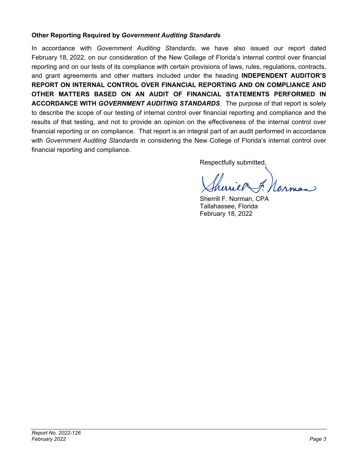#### <span id="page-6-0"></span>**Other Reporting Required by** *Government Auditing Standards*

In accordance with *Government Auditing Standards*, we have also issued our report dated February 18, 2022, on our consideration of the New College of Florida's internal control over financial reporting and on our tests of its compliance with certain provisions of laws, rules, regulations, contracts, and grant agreements and other matters included under the heading **INDEPENDENT AUDITOR'S REPORT ON INTERNAL CONTROL OVER FINANCIAL REPORTING AND ON COMPLIANCE AND OTHER MATTERS BASED ON AN AUDIT OF FINANCIAL STATEMENTS PERFORMED IN ACCORDANCE WITH** *GOVERNMENT AUDITING STANDARDS*. The purpose of that report is solely to describe the scope of our testing of internal control over financial reporting and compliance and the results of that testing, and not to provide an opinion on the effectiveness of the internal control over financial reporting or on compliance. That report is an integral part of an audit performed in accordance with *Government Auditing Standards* in considering the New College of Florida's internal control over financial reporting and compliance.

Respectfully submitted,

Sherrill F. Norman, CPA Tallahassee, Florida February 18, 2022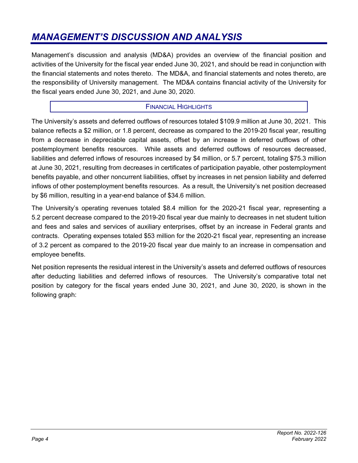## <span id="page-7-0"></span>*MANAGEMENT'S DISCUSSION AND ANALYSIS*

Management's discussion and analysis (MD&A) provides an overview of the financial position and activities of the University for the fiscal year ended June 30, 2021, and should be read in conjunction with the financial statements and notes thereto. The MD&A, and financial statements and notes thereto, are the responsibility of University management. The MD&A contains financial activity of the University for the fiscal years ended June 30, 2021, and June 30, 2020.

#### FINANCIAL HIGHLIGHTS

The University's assets and deferred outflows of resources totaled \$109.9 million at June 30, 2021. This balance reflects a \$2 million, or 1.8 percent, decrease as compared to the 2019-20 fiscal year, resulting from a decrease in depreciable capital assets, offset by an increase in deferred outflows of other postemployment benefits resources. While assets and deferred outflows of resources decreased, liabilities and deferred inflows of resources increased by \$4 million, or 5.7 percent, totaling \$75.3 million at June 30, 2021, resulting from decreases in certificates of participation payable, other postemployment benefits payable, and other noncurrent liabilities, offset by increases in net pension liability and deferred inflows of other postemployment benefits resources. As a result, the University's net position decreased by \$6 million, resulting in a year-end balance of \$34.6 million.

The University's operating revenues totaled \$8.4 million for the 2020-21 fiscal year, representing a 5.2 percent decrease compared to the 2019-20 fiscal year due mainly to decreases in net student tuition and fees and sales and services of auxiliary enterprises, offset by an increase in Federal grants and contracts. Operating expenses totaled \$53 million for the 2020-21 fiscal year, representing an increase of 3.2 percent as compared to the 2019-20 fiscal year due mainly to an increase in compensation and employee benefits.

Net position represents the residual interest in the University's assets and deferred outflows of resources after deducting liabilities and deferred inflows of resources. The University's comparative total net position by category for the fiscal years ended June 30, 2021, and June 30, 2020, is shown in the following graph: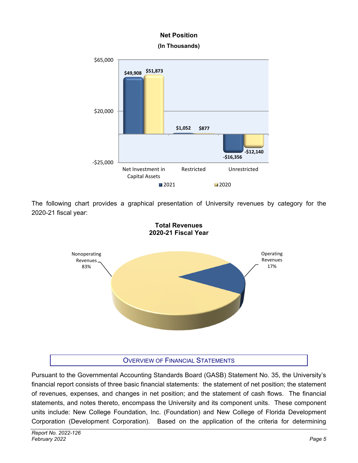**Net Position (In Thousands)** 



The following chart provides a graphical presentation of University revenues by category for the 2020-21 fiscal year:



## OVERVIEW OF FINANCIAL STATEMENTS

Pursuant to the Governmental Accounting Standards Board (GASB) Statement No. 35, the University's financial report consists of three basic financial statements: the statement of net position; the statement of revenues, expenses, and changes in net position; and the statement of cash flows. The financial statements, and notes thereto, encompass the University and its component units. These component units include: New College Foundation, Inc. (Foundation) and New College of Florida Development Corporation (Development Corporation). Based on the application of the criteria for determining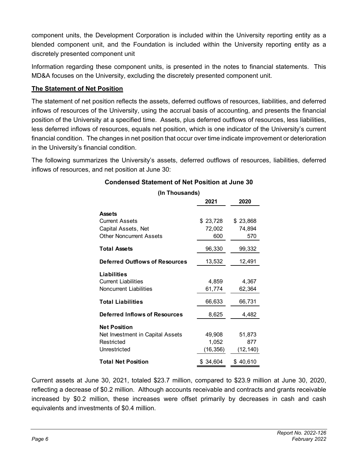component units, the Development Corporation is included within the University reporting entity as a blended component unit, and the Foundation is included within the University reporting entity as a discretely presented component unit

Information regarding these component units, is presented in the notes to financial statements. This MD&A focuses on the University, excluding the discretely presented component unit.

#### **The Statement of Net Position**

The statement of net position reflects the assets, deferred outflows of resources, liabilities, and deferred inflows of resources of the University, using the accrual basis of accounting, and presents the financial position of the University at a specified time. Assets, plus deferred outflows of resources, less liabilities, less deferred inflows of resources, equals net position, which is one indicator of the University's current financial condition. The changes in net position that occur over time indicate improvement or deterioration in the University's financial condition.

The following summarizes the University's assets, deferred outflows of resources, liabilities, deferred inflows of resources, and net position at June 30:

## **(In Thousands) 2021 2020 Assets** Current Assets **3 23,728** \$ 23,868 Capital Assets, Net 72,002 74,894 Other Noncurrent Assets 600 600 570 **Total Assets** 96,330 99,332 **Deferred Outflows of Resources** 13,532 12,491 **Liabilities** Current Liabilities 4,859 4,367 Noncurrent Liabilities 61,774 62,364 **Total Liabilities** 66,633 66,731 **Deferred Inflows of Resources** 8,625 4,482 **Net Position** Net Investment in Capital Assets 49,908 51,873 Restricted 1,052 877 Unrestricted (16,356) (12,140) **Total Net Position**  $$34,604$   $$40,610$

#### **Condensed Statement of Net Position at June 30**

Current assets at June 30, 2021, totaled \$23.7 million, compared to \$23.9 million at June 30, 2020, reflecting a decrease of \$0.2 million. Although accounts receivable and contracts and grants receivable increased by \$0.2 million, these increases were offset primarily by decreases in cash and cash equivalents and investments of \$0.4 million.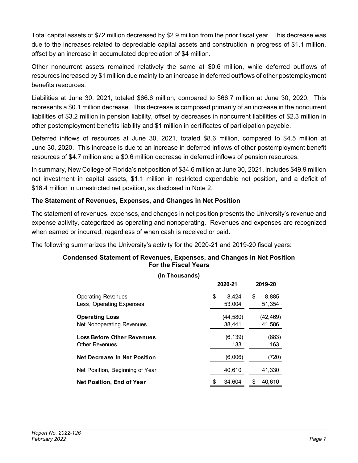Total capital assets of \$72 million decreased by \$2.9 million from the prior fiscal year. This decrease was due to the increases related to depreciable capital assets and construction in progress of \$1.1 million, offset by an increase in accumulated depreciation of \$4 million.

Other noncurrent assets remained relatively the same at \$0.6 million, while deferred outflows of resources increased by \$1 million due mainly to an increase in deferred outflows of other postemployment benefits resources.

Liabilities at June 30, 2021, totaled \$66.6 million, compared to \$66.7 million at June 30, 2020. This represents a \$0.1 million decrease. This decrease is composed primarily of an increase in the noncurrent liabilities of \$3.2 million in pension liability, offset by decreases in noncurrent liabilities of \$2.3 million in other postemployment benefits liability and \$1 million in certificates of participation payable.

Deferred inflows of resources at June 30, 2021, totaled \$8.6 million, compared to \$4.5 million at June 30, 2020. This increase is due to an increase in deferred inflows of other postemployment benefit resources of \$4.7 million and a \$0.6 million decrease in deferred inflows of pension resources.

In summary, New College of Florida's net position of \$34.6 million at June 30, 2021, includes \$49.9 million net investment in capital assets, \$1.1 million in restricted expendable net position, and a deficit of \$16.4 million in unrestricted net position, as disclosed in Note 2.

#### **The Statement of Revenues, Expenses, and Changes in Net Position**

The statement of revenues, expenses, and changes in net position presents the University's revenue and expense activity, categorized as operating and nonoperating. Revenues and expenses are recognized when earned or incurred, regardless of when cash is received or paid.

The following summarizes the University's activity for the 2020-21 and 2019-20 fiscal years:

#### **Condensed Statement of Revenues, Expenses, and Changes in Net Position For the Fiscal Years**

#### **(In Thousands)**

|                                                            | 2020-21               | 2019-20               |
|------------------------------------------------------------|-----------------------|-----------------------|
| <b>Operating Revenues</b><br>Less, Operating Expenses      | \$<br>8.424<br>53,004 | \$<br>8,885<br>51,354 |
| <b>Operating Loss</b><br>Net Nonoperating Revenues         | (44,580)<br>38.441    | (42, 469)<br>41,586   |
| <b>Loss Before Other Revenues</b><br><b>Other Revenues</b> | (6, 139)<br>133       | (883)<br>163          |
| <b>Net Decrease In Net Position</b>                        | (6,006)               | (720)                 |
| Net Position, Beginning of Year                            | 40,610                | 41,330                |
| <b>Net Position, End of Year</b>                           | \$<br>34.604          | 40.610<br>S           |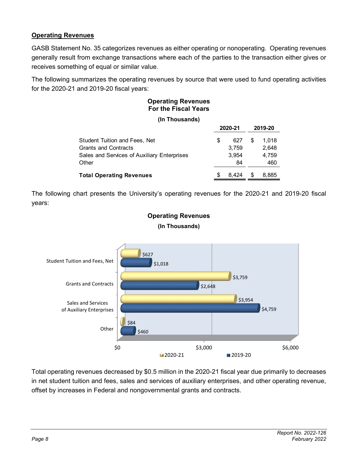#### **Operating Revenues**

GASB Statement No. 35 categorizes revenues as either operating or nonoperating. Operating revenues generally result from exchange transactions where each of the parties to the transaction either gives or receives something of equal or similar value.

The following summarizes the operating revenues by source that were used to fund operating activities for the 2020-21 and 2019-20 fiscal years:

#### **Operating Revenues For the Fiscal Years**

## **(In Thousands) 2020-21 2019-20** Student Tuition and Fees, Net 627 \$ 1,018 Grants and Contracts 3,759 2,648 Sales and Services of Auxiliary Enterprises 3,954 4,759 Other 84 460 Total Operating Revenues **\$ 8,424 \$ 8,885**

The following chart presents the University's operating revenues for the 2020-21 and 2019-20 fiscal years:



#### **Operating Revenues**

**(In Thousands)** 

Total operating revenues decreased by \$0.5 million in the 2020-21 fiscal year due primarily to decreases in net student tuition and fees, sales and services of auxiliary enterprises, and other operating revenue, offset by increases in Federal and nongovernmental grants and contracts.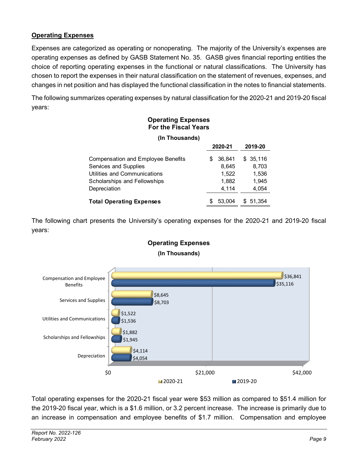## **Operating Expenses**

Expenses are categorized as operating or nonoperating. The majority of the University's expenses are operating expenses as defined by GASB Statement No. 35. GASB gives financial reporting entities the choice of reporting operating expenses in the functional or natural classifications. The University has chosen to report the expenses in their natural classification on the statement of revenues, expenses, and changes in net position and has displayed the functional classification in the notes to financial statements.

The following summarizes operating expenses by natural classification for the 2020-21 and 2019-20 fiscal years:

#### **Operating Expenses For the Fiscal Years**

#### **(In Thousands)**

|                                                                                                    | 2020-21                       | 2019-20                    |
|----------------------------------------------------------------------------------------------------|-------------------------------|----------------------------|
| <b>Compensation and Employee Benefits</b><br>Services and Supplies<br>Utilities and Communications | 36.841<br>S<br>8.645<br>1.522 | \$35,116<br>8,703<br>1,536 |
| Scholarships and Fellowships<br>Depreciation                                                       | 1,882<br>4.114                | 1,945<br>4,054             |
| <b>Total Operating Expenses</b>                                                                    | 53.004<br>S                   | \$51,354                   |

The following chart presents the University's operating expenses for the 2020-21 and 2019-20 fiscal years:



# **Operating Expenses**

Total operating expenses for the 2020-21 fiscal year were \$53 million as compared to \$51.4 million for the 2019-20 fiscal year, which is a \$1.6 million, or 3.2 percent increase. The increase is primarily due to an increase in compensation and employee benefits of \$1.7 million. Compensation and employee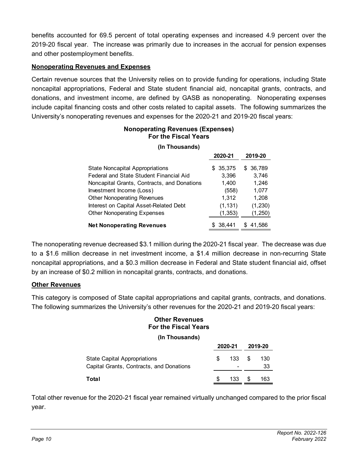benefits accounted for 69.5 percent of total operating expenses and increased 4.9 percent over the 2019-20 fiscal year. The increase was primarily due to increases in the accrual for pension expenses and other postemployment benefits.

#### **Nonoperating Revenues and Expenses**

Certain revenue sources that the University relies on to provide funding for operations, including State noncapital appropriations, Federal and State student financial aid, noncapital grants, contracts, and donations, and investment income, are defined by GASB as nonoperating. Nonoperating expenses include capital financing costs and other costs related to capital assets. The following summarizes the University's nonoperating revenues and expenses for the 2020-21 and 2019-20 fiscal years:

#### **Nonoperating Revenues (Expenses) For the Fiscal Years**

**(In Thousands)** 

| (III THUUSAHUS <i>)</i>                     |           |           |
|---------------------------------------------|-----------|-----------|
|                                             | 2020-21   | 2019-20   |
| <b>State Noncapital Appropriations</b>      | \$ 35,375 | \$ 36,789 |
| Federal and State Student Financial Aid     | 3,396     | 3.746     |
| Noncapital Grants, Contracts, and Donations | 1,400     | 1,246     |
| Investment Income (Loss)                    | (558)     | 1,077     |
| <b>Other Nonoperating Revenues</b>          | 1.312     | 1,208     |
| Interest on Capital Asset-Related Debt      | (1, 131)  | (1, 230)  |
| <b>Other Nonoperating Expenses</b>          | (1, 353)  | (1, 250)  |
| <b>Net Nonoperating Revenues</b>            | 38,441    | 41,586    |

The nonoperating revenue decreased \$3.1 million during the 2020-21 fiscal year. The decrease was due to a \$1.6 million decrease in net investment income, a \$1.4 million decrease in non-recurring State noncapital appropriations, and a \$0.3 million decrease in Federal and State student financial aid, offset by an increase of \$0.2 million in noncapital grants, contracts, and donations.

#### **Other Revenues**

This category is composed of State capital appropriations and capital grants, contracts, and donations. The following summarizes the University's other revenues for the 2020-21 and 2019-20 fiscal years:

#### **Other Revenues For the Fiscal Years**

**(In Thousands)** 

|                                                                                 |     | 2020-21                            | 2019-20   |
|---------------------------------------------------------------------------------|-----|------------------------------------|-----------|
| <b>State Capital Appropriations</b><br>Capital Grants, Contracts, and Donations | SS. | 133 \$<br>$\overline{\phantom{0}}$ | 130<br>33 |
| Total                                                                           | \$. | 133                                | 163       |

Total other revenue for the 2020-21 fiscal year remained virtually unchanged compared to the prior fiscal year.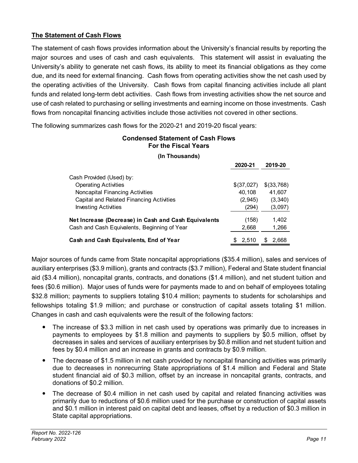## **The Statement of Cash Flows**

The statement of cash flows provides information about the University's financial results by reporting the major sources and uses of cash and cash equivalents. This statement will assist in evaluating the University's ability to generate net cash flows, its ability to meet its financial obligations as they come due, and its need for external financing. Cash flows from operating activities show the net cash used by the operating activities of the University. Cash flows from capital financing activities include all plant funds and related long-term debt activities. Cash flows from investing activities show the net source and use of cash related to purchasing or selling investments and earning income on those investments. Cash flows from noncapital financing activities include those activities not covered in other sections.

The following summarizes cash flows for the 2020-21 and 2019-20 fiscal years:

| (In Thousands)                                       |             |            |
|------------------------------------------------------|-------------|------------|
|                                                      | 2020-21     | 2019-20    |
| Cash Provided (Used) by:                             |             |            |
| <b>Operating Activities</b>                          | \$(37,027)  | \$(33,768) |
| <b>Noncapital Financing Activities</b>               | 40,108      | 41,607     |
| Capital and Related Financing Activities             | (2,945)     | (3,340)    |
| <b>Investing Activities</b>                          | (294)       | (3,097)    |
| Net Increase (Decrease) in Cash and Cash Equivalents | (158)       | 1,402      |
| Cash and Cash Equivalents, Beginning of Year         | 2,668       | 1,266      |
| Cash and Cash Equivalents, End of Year               | 2.510<br>\$ | 2.668<br>S |

#### **Condensed Statement of Cash Flows For the Fiscal Years**

Major sources of funds came from State noncapital appropriations (\$35.4 million), sales and services of auxiliary enterprises (\$3.9 million), grants and contracts (\$3.7 million), Federal and State student financial aid (\$3.4 million), noncapital grants, contracts, and donations (\$1.4 million), and net student tuition and fees (\$0.6 million). Major uses of funds were for payments made to and on behalf of employees totaling \$32.8 million; payments to suppliers totaling \$10.4 million; payments to students for scholarships and fellowships totaling \$1.9 million; and purchase or construction of capital assets totaling \$1 million. Changes in cash and cash equivalents were the result of the following factors:

- The increase of \$3.3 million in net cash used by operations was primarily due to increases in payments to employees by \$1.8 million and payments to suppliers by \$0.5 million, offset by decreases in sales and services of auxiliary enterprises by \$0.8 million and net student tuition and fees by \$0.4 million and an increase in grants and contracts by \$0.9 million.
- The decrease of \$1.5 million in net cash provided by noncapital financing activities was primarily due to decreases in nonrecurring State appropriations of \$1.4 million and Federal and State student financial aid of \$0.3 million, offset by an increase in noncapital grants, contracts, and donations of \$0.2 million.
- The decrease of \$0.4 million in net cash used by capital and related financing activities was primarily due to reductions of \$0.6 million used for the purchase or construction of capital assets and \$0.1 million in interest paid on capital debt and leases, offset by a reduction of \$0.3 million in State capital appropriations.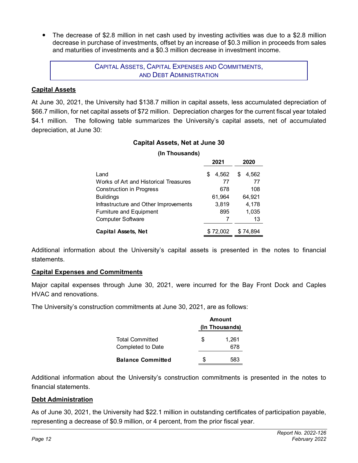The decrease of \$2.8 million in net cash used by investing activities was due to a \$2.8 million decrease in purchase of investments, offset by an increase of \$0.3 million in proceeds from sales and maturities of investments and a \$0.3 million decrease in investment income.

> CAPITAL ASSETS, CAPITAL EXPENSES AND COMMITMENTS, AND DEBT ADMINISTRATION

#### **Capital Assets**

At June 30, 2021, the University had \$138.7 million in capital assets, less accumulated depreciation of \$66.7 million, for net capital assets of \$72 million. Depreciation charges for the current fiscal year totaled \$4.1 million. The following table summarizes the University's capital assets, net of accumulated depreciation, at June 30:

|                                       | 2021        | 2020        |
|---------------------------------------|-------------|-------------|
| Land                                  | 4,562<br>\$ | \$<br>4,562 |
| Works of Art and Historical Treasures | 77          | 77          |
| <b>Construction in Progress</b>       | 678         | 108         |
| <b>Buildings</b>                      | 61,964      | 64,921      |
| Infrastructure and Other Improvements | 3,819       | 4,178       |
| <b>Furniture and Equipment</b>        | 895         | 1,035       |
| <b>Computer Software</b>              |             | 13          |
| <b>Capital Assets, Net</b>            | \$72,002    | \$74.894    |

#### **Capital Assets, Net at June 30**

**(In Thousands)** 

Additional information about the University's capital assets is presented in the notes to financial statements.

#### **Capital Expenses and Commitments**

Major capital expenses through June 30, 2021, were incurred for the Bay Front Dock and Caples HVAC and renovations.

The University's construction commitments at June 30, 2021, are as follows:

|                                             | Amount<br>(In Thousands) |              |
|---------------------------------------------|--------------------------|--------------|
| <b>Total Committed</b><br>Completed to Date | \$.                      | 1,261<br>678 |
| <b>Balance Committed</b>                    | S.                       | 583          |

Additional information about the University's construction commitments is presented in the notes to financial statements.

#### **Debt Administration**

As of June 30, 2021, the University had \$22.1 million in outstanding certificates of participation payable, representing a decrease of \$0.9 million, or 4 percent, from the prior fiscal year.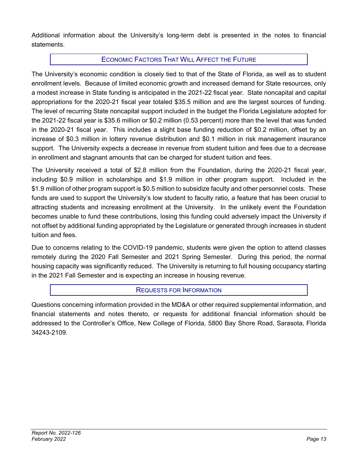Additional information about the University's long-term debt is presented in the notes to financial statements.

## ECONOMIC FACTORS THAT WILL AFFECT THE FUTURE

The University's economic condition is closely tied to that of the State of Florida, as well as to student enrollment levels. Because of limited economic growth and increased demand for State resources, only a modest increase in State funding is anticipated in the 2021-22 fiscal year. State noncapital and capital appropriations for the 2020-21 fiscal year totaled \$35.5 million and are the largest sources of funding. The level of recurring State noncapital support included in the budget the Florida Legislature adopted for the 2021-22 fiscal year is \$35.6 million or \$0.2 million (0.53 percent) more than the level that was funded in the 2020-21 fiscal year. This includes a slight base funding reduction of \$0.2 million, offset by an increase of \$0.3 million in lottery revenue distribution and \$0.1 million in risk management insurance support. The University expects a decrease in revenue from student tuition and fees due to a decrease in enrollment and stagnant amounts that can be charged for student tuition and fees.

The University received a total of \$2.8 million from the Foundation, during the 2020-21 fiscal year, including \$0.9 million in scholarships and \$1.9 million in other program support. Included in the \$1.9 million of other program support is \$0.5 million to subsidize faculty and other personnel costs. These funds are used to support the University's low student to faculty ratio, a feature that has been crucial to attracting students and increasing enrollment at the University. In the unlikely event the Foundation becomes unable to fund these contributions, losing this funding could adversely impact the University if not offset by additional funding appropriated by the Legislature or generated through increases in student tuition and fees.

Due to concerns relating to the COVID-19 pandemic, students were given the option to attend classes remotely during the 2020 Fall Semester and 2021 Spring Semester. During this period, the normal housing capacity was significantly reduced. The University is returning to full housing occupancy starting in the 2021 Fall Semester and is expecting an increase in housing revenue.

#### REQUESTS FOR INFORMATION

Questions concerning information provided in the MD&A or other required supplemental information, and financial statements and notes thereto, or requests for additional financial information should be addressed to the Controller's Office, New College of Florida, 5800 Bay Shore Road, Sarasota, Florida 34243-2109.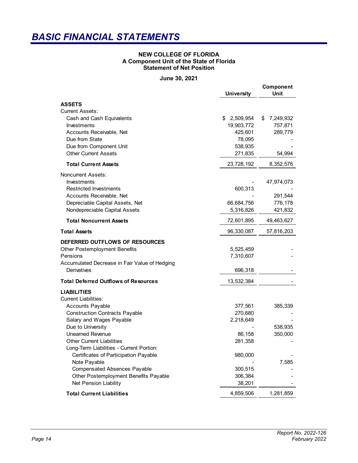## <span id="page-17-0"></span>*BASIC FINANCIAL STATEMENTS*

#### **NEW COLLEGE OF FLORIDA A Component Unit of the State of Florida Statement of Net Position**

**June 30, 2021** 

|                                               |                   | Component       |
|-----------------------------------------------|-------------------|-----------------|
|                                               | <b>University</b> | <b>Unit</b>     |
| <b>ASSETS</b>                                 |                   |                 |
| Current Assets:                               |                   |                 |
| Cash and Cash Equivalents                     | 2,509,954<br>\$   | \$<br>7,249,932 |
| Investments                                   | 19,903,772        | 757,871         |
| Accounts Receivable, Net                      | 425,601           | 289,779         |
| Due from State                                | 78,095            |                 |
| Due from Component Unit                       | 538,935           |                 |
| <b>Other Current Assets</b>                   | 271,835           | 54,994          |
| <b>Total Current Assets</b>                   | 23,728,192        | 8,352,576       |
| Noncurrent Assets:                            |                   |                 |
| Investments                                   |                   | 47,974,073      |
| <b>Restricted Investments</b>                 | 600,313           |                 |
| Accounts Receivable, Net                      |                   | 291,544         |
| Depreciable Capital Assets, Net               | 66,684,756        | 776,178         |
| Nondepreciable Capital Assets                 | 5,316,826         | 421,832         |
| <b>Total Noncurrent Assets</b>                | 72,601,895        | 49,463,627      |
| <b>Total Assets</b>                           | 96,330,087        | 57,816,203      |
| DEFERRED OUTFLOWS OF RESOURCES                |                   |                 |
| <b>Other Postemployment Benefits</b>          | 5,525,459         |                 |
| Pensions                                      | 7,310,607         |                 |
| Accumulated Decrease in Fair Value of Hedging |                   |                 |
| Derivatives                                   | 696,318           |                 |
| <b>Total Deferred Outflows of Resources</b>   | 13,532,384        |                 |
| <b>LIABILITIES</b>                            |                   |                 |
| <b>Current Liabilities:</b>                   |                   |                 |
| <b>Accounts Payable</b>                       | 377,561           | 385,339         |
| <b>Construction Contracts Payable</b>         | 270,680           |                 |
| Salary and Wages Payable                      | 2,218,649         |                 |
| Due to University                             |                   | 538,935         |
| <b>Unearned Revenue</b>                       | 86,158            | 350,000         |
| <b>Other Current Liabilities</b>              | 281,358           |                 |
| Long-Term Liabilities - Current Portion:      |                   |                 |
| Certificates of Participation Payable         | 980,000           |                 |
| Note Payable                                  |                   | 7,585           |
| <b>Compensated Absences Payable</b>           | 300,515           |                 |
| Other Postemployment Benefits Payable         | 306,384           |                 |
| Net Pension Liability                         | 38,201            |                 |
| <b>Total Current Liabilities</b>              | 4,859,506         | 1,281,859       |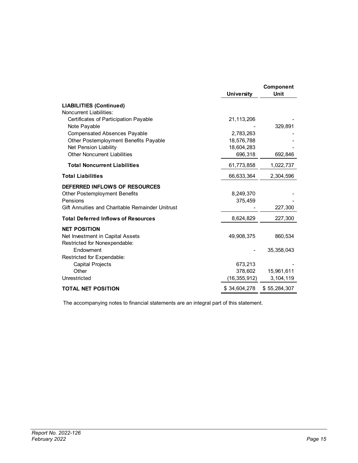|                                                                                                                                       | <b>University</b>                    | Component<br>Unit       |
|---------------------------------------------------------------------------------------------------------------------------------------|--------------------------------------|-------------------------|
| <b>LIABILITIES (Continued)</b><br>Noncurrent Liabilities:                                                                             |                                      |                         |
| Certificates of Participation Payable<br>Note Payable                                                                                 | 21,113,206                           | 329,891                 |
| <b>Compensated Absences Payable</b><br>Other Postemployment Benefits Payable                                                          | 2,783,263<br>18,576,788              |                         |
| Net Pension Liability<br><b>Other Noncurrent Liabilities</b>                                                                          | 18,604,283<br>696,318                | 692,846                 |
| <b>Total Noncurrent Liabilities</b>                                                                                                   | 61,773,858                           | 1,022,737               |
| <b>Total Liabilities</b>                                                                                                              | 66,633,364                           | 2,304,596               |
| DEFERRED INFLOWS OF RESOURCES<br><b>Other Postemployment Benefits</b><br>Pensions<br>Gift Annuities and Charitable Remainder Unitrust | 8,249,370<br>375,459                 | 227,300                 |
| <b>Total Deferred Inflows of Resources</b>                                                                                            | 8,624,829                            | 227,300                 |
| <b>NET POSITION</b><br>Net Investment in Capital Assets<br>Restricted for Nonexpendable:                                              | 49,908,375                           | 860,534                 |
| Endowment<br>Restricted for Expendable:                                                                                               |                                      | 35, 358, 043            |
| <b>Capital Projects</b><br>Other<br>Unrestricted                                                                                      | 673,213<br>378,602<br>(16, 355, 912) | 15,961,611<br>3,104,119 |
| <b>TOTAL NET POSITION</b>                                                                                                             | \$34,604,278                         | \$55,284,307            |

The accompanying notes to financial statements are an integral part of this statement.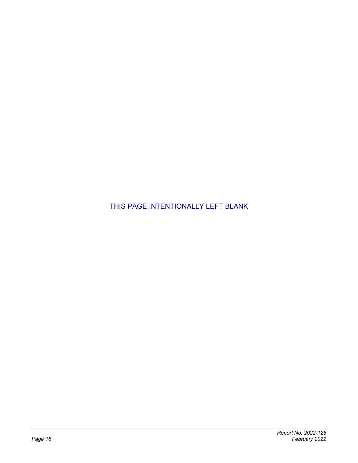THIS PAGE INTENTIONALLY LEFT BLANK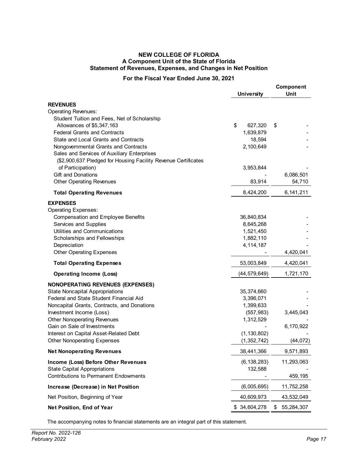#### **NEW COLLEGE OF FLORIDA A Component Unit of the State of Florida Statement of Revenues, Expenses, and Changes in Net Position**

#### **For the Fiscal Year Ended June 30, 2021**

<span id="page-20-0"></span>

|                                                                                                                                                                                                                                                                                                                                                              |                                                                                                   | Component                           |
|--------------------------------------------------------------------------------------------------------------------------------------------------------------------------------------------------------------------------------------------------------------------------------------------------------------------------------------------------------------|---------------------------------------------------------------------------------------------------|-------------------------------------|
|                                                                                                                                                                                                                                                                                                                                                              | <b>University</b>                                                                                 | <b>Unit</b>                         |
| <b>REVENUES</b><br><b>Operating Revenues:</b>                                                                                                                                                                                                                                                                                                                |                                                                                                   |                                     |
| Student Tuition and Fees, Net of Scholarship<br>Allowances of \$5,347,163<br><b>Federal Grants and Contracts</b><br>State and Local Grants and Contracts<br>Nongovernmental Grants and Contracts<br>Sales and Services of Auxiliary Enterprises                                                                                                              | \$<br>627,320<br>1,639,879<br>18,594<br>2,100,649                                                 | \$                                  |
| (\$2,900,637 Pledged for Housing Facility Revenue Certificates<br>of Participation)<br>Gift and Donations<br><b>Other Operating Revenues</b>                                                                                                                                                                                                                 | 3,953,844<br>83,914                                                                               | 6,086,501<br>54,710                 |
| <b>Total Operating Revenues</b>                                                                                                                                                                                                                                                                                                                              | 8,424,200                                                                                         | 6,141,211                           |
| <b>EXPENSES</b><br><b>Operating Expenses:</b><br><b>Compensation and Employee Benefits</b><br>Services and Supplies<br>Utilities and Communications<br>Scholarships and Fellowships<br>Depreciation<br><b>Other Operating Expenses</b>                                                                                                                       | 36,840,834<br>8,645,268<br>1,521,450<br>1,882,110<br>4, 114, 187                                  | 4,420,041                           |
| <b>Total Operating Expenses</b>                                                                                                                                                                                                                                                                                                                              | 53,003,849                                                                                        | 4,420,041                           |
| <b>Operating Income (Loss)</b>                                                                                                                                                                                                                                                                                                                               | (44, 579, 649)                                                                                    | 1,721,170                           |
| <b>NONOPERATING REVENUES (EXPENSES)</b><br><b>State Noncapital Appropriations</b><br>Federal and State Student Financial Aid<br>Noncapital Grants, Contracts, and Donations<br>Investment Income (Loss)<br><b>Other Nonoperating Revenues</b><br>Gain on Sale of Investments<br>Interest on Capital Asset-Related Debt<br><b>Other Nonoperating Expenses</b> | 35,374,660<br>3,396,071<br>1,399,633<br>(557, 983)<br>1,312,529<br>(1, 130, 802)<br>(1, 352, 742) | 3,445,043<br>6,170,922<br>(44, 072) |
| <b>Net Nonoperating Revenues</b>                                                                                                                                                                                                                                                                                                                             | 38,441,366                                                                                        | 9,571,893                           |
| Income (Loss) Before Other Revenues<br><b>State Capital Appropriations</b><br><b>Contributions to Permanent Endowments</b>                                                                                                                                                                                                                                   | (6, 138, 283)<br>132,588                                                                          | 11,293,063<br>459,195               |
| Increase (Decrease) in Net Position                                                                                                                                                                                                                                                                                                                          | (6,005,695)                                                                                       | 11,752,258                          |
| Net Position, Beginning of Year                                                                                                                                                                                                                                                                                                                              | 40,609,973                                                                                        | 43,532,049                          |
| Net Position, End of Year                                                                                                                                                                                                                                                                                                                                    | \$ 34,604,278                                                                                     | \$<br>55,284,307                    |

The accompanying notes to financial statements are an integral part of this statement.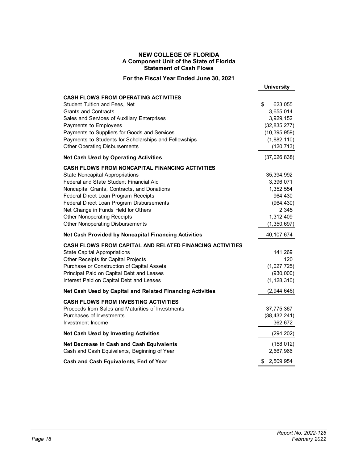#### **NEW COLLEGE OF FLORIDA A Component Unit of the State of Florida Statement of Cash Flows**

#### **For the Fiscal Year Ended June 30, 2021**

<span id="page-21-0"></span>

|                                                                                   | <b>University</b>  |
|-----------------------------------------------------------------------------------|--------------------|
| <b>CASH FLOWS FROM OPERATING ACTIVITIES</b><br>Student Tuition and Fees, Net      | \$<br>623,055      |
| <b>Grants and Contracts</b>                                                       | 3,655,014          |
| Sales and Services of Auxiliary Enterprises                                       | 3,929,152          |
| Payments to Employees                                                             | (32, 835, 277)     |
| Payments to Suppliers for Goods and Services                                      | (10, 395, 959)     |
| Payments to Students for Scholarships and Fellowships                             | (1,882,110)        |
| <b>Other Operating Disbursements</b>                                              | (120, 713)         |
| <b>Net Cash Used by Operating Activities</b>                                      | (37,026,838)       |
| CASH FLOWS FROM NONCAPITAL FINANCING ACTIVITIES                                   |                    |
| <b>State Noncapital Appropriations</b>                                            | 35, 394, 992       |
| Federal and State Student Financial Aid                                           | 3,396,071          |
| Noncapital Grants, Contracts, and Donations                                       | 1,352,554          |
| Federal Direct Loan Program Receipts                                              | 964,430            |
| Federal Direct Loan Program Disbursements                                         | (964, 430)         |
| Net Change in Funds Held for Others<br><b>Other Nonoperating Receipts</b>         | 2,345<br>1,312,409 |
| <b>Other Nonoperating Disbursements</b>                                           | (1,350,697)        |
|                                                                                   |                    |
| Net Cash Provided by Noncapital Financing Activities                              | 40,107,674         |
| <b>CASH FLOWS FROM CAPITAL AND RELATED FINANCING ACTIVITIES</b>                   |                    |
| <b>State Capital Appropriations</b>                                               | 141,269            |
| Other Receipts for Capital Projects<br>Purchase or Construction of Capital Assets | 120<br>(1,027,725) |
| Principal Paid on Capital Debt and Leases                                         | (930,000)          |
| Interest Paid on Capital Debt and Leases                                          | (1, 128, 310)      |
|                                                                                   |                    |
| Net Cash Used by Capital and Related Financing Activities                         | (2,944,646)        |
| <b>CASH FLOWS FROM INVESTING ACTIVITIES</b>                                       |                    |
| Proceeds from Sales and Maturities of Investments                                 | 37,775,367         |
| Purchases of Investments                                                          | (38, 432, 241)     |
| Investment Income                                                                 | 362,672            |
| Net Cash Used by Investing Activities                                             | (294, 202)         |
| Net Decrease in Cash and Cash Equivalents                                         | (158, 012)         |
| Cash and Cash Equivalents, Beginning of Year                                      | 2,667,966          |
| Cash and Cash Equivalents, End of Year                                            | 2,509,954<br>\$    |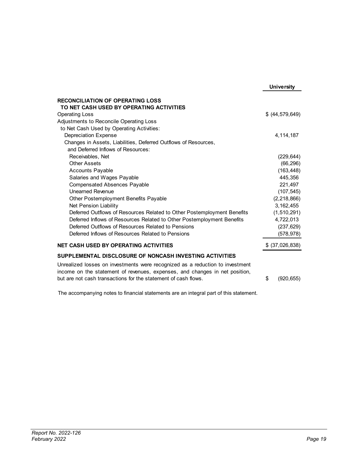|                                                                               | <b>University</b> |
|-------------------------------------------------------------------------------|-------------------|
|                                                                               |                   |
| <b>RECONCILIATION OF OPERATING LOSS</b>                                       |                   |
| TO NET CASH USED BY OPERATING ACTIVITIES                                      |                   |
| <b>Operating Loss</b>                                                         | \$ (44, 579, 649) |
| Adjustments to Reconcile Operating Loss                                       |                   |
| to Net Cash Used by Operating Activities:                                     |                   |
| <b>Depreciation Expense</b>                                                   | 4, 114, 187       |
| Changes in Assets, Liabilities, Deferred Outflows of Resources,               |                   |
| and Deferred Inflows of Resources:                                            |                   |
| Receivables, Net                                                              | (229, 644)        |
| Other Assets                                                                  | (66, 296)         |
| <b>Accounts Payable</b>                                                       | (163, 448)        |
| Salaries and Wages Payable                                                    | 445,356           |
| <b>Compensated Absences Payable</b>                                           | 221,497           |
| <b>Unearned Revenue</b>                                                       | (107, 545)        |
| Other Postemployment Benefits Payable                                         | (2, 218, 866)     |
| <b>Net Pension Liability</b>                                                  | 3, 162, 455       |
| Deferred Outflows of Resources Related to Other Postemployment Benefits       | (1,510,291)       |
| Deferred Inflows of Resources Related to Other Postemployment Benefits        | 4,722,013         |
| Deferred Outflows of Resources Related to Pensions                            | (237, 629)        |
| Deferred Inflows of Resources Related to Pensions                             | (578, 978)        |
| <b>NET CASH USED BY OPERATING ACTIVITIES</b>                                  | \$ (37,026,838)   |
| SUPPLEMENTAL DISCLOSURE OF NONCASH INVESTING ACTIVITIES                       |                   |
| Unrealized losses on investments were recognized as a reduction to investment |                   |
| income on the statement of revenues, expenses, and changes in net position,   |                   |
| but are not cash transactions for the statement of cash flows.                | \$<br>(920, 655)  |

The accompanying notes to financial statements are an integral part of this statement.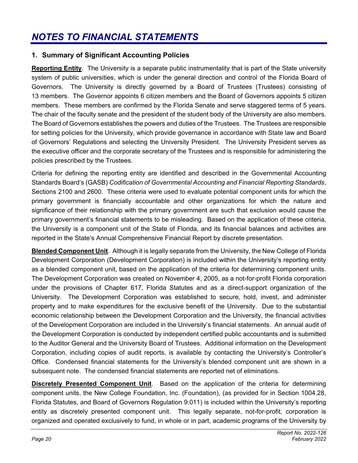## <span id="page-23-0"></span>*NOTES TO FINANCIAL STATEMENTS*

#### **1. Summary of Significant Accounting Policies**

**Reporting Entity**. The University is a separate public instrumentality that is part of the State university system of public universities, which is under the general direction and control of the Florida Board of Governors. The University is directly governed by a Board of Trustees (Trustees) consisting of 13 members. The Governor appoints 6 citizen members and the Board of Governors appoints 5 citizen members. These members are confirmed by the Florida Senate and serve staggered terms of 5 years. The chair of the faculty senate and the president of the student body of the University are also members. The Board of Governors establishes the powers and duties of the Trustees. The Trustees are responsible for setting policies for the University, which provide governance in accordance with State law and Board of Governors' Regulations and selecting the University President. The University President serves as the executive officer and the corporate secretary of the Trustees and is responsible for administering the policies prescribed by the Trustees.

Criteria for defining the reporting entity are identified and described in the Governmental Accounting Standards Board's (GASB) *Codification of Governmental Accounting and Financial Reporting Standards*, Sections 2100 and 2600. These criteria were used to evaluate potential component units for which the primary government is financially accountable and other organizations for which the nature and significance of their relationship with the primary government are such that exclusion would cause the primary government's financial statements to be misleading. Based on the application of these criteria, the University is a component unit of the State of Florida, and its financial balances and activities are reported in the State's Annual Comprehensive Financial Report by discrete presentation.

**Blended Component Unit**. Although it is legally separate from the University, the New College of Florida Development Corporation (Development Corporation) is included within the University's reporting entity as a blended component unit, based on the application of the criteria for determining component units. The Development Corporation was created on November 4, 2005, as a not-for-profit Florida corporation under the provisions of Chapter 617, Florida Statutes and as a direct-support organization of the University. The Development Corporation was established to secure, hold, invest, and administer property and to make expenditures for the exclusive benefit of the University. Due to the substantial economic relationship between the Development Corporation and the University, the financial activities of the Development Corporation are included in the University's financial statements. An annual audit of the Development Corporation is conducted by independent certified public accountants and is submitted to the Auditor General and the University Board of Trustees. Additional information on the Development Corporation, including copies of audit reports, is available by contacting the University's Controller's Office. Condensed financial statements for the University's blended component unit are shown in a subsequent note. The condensed financial statements are reported net of eliminations.

**Discretely Presented Component Unit**. Based on the application of the criteria for determining component units, the New College Foundation, Inc. (Foundation), (as provided for in Section 1004.28, Florida Statutes, and Board of Governors Regulation 9.011) is included within the University's reporting entity as discretely presented component unit. This legally separate, not-for-profit, corporation is organized and operated exclusively to fund, in whole or in part, academic programs of the University by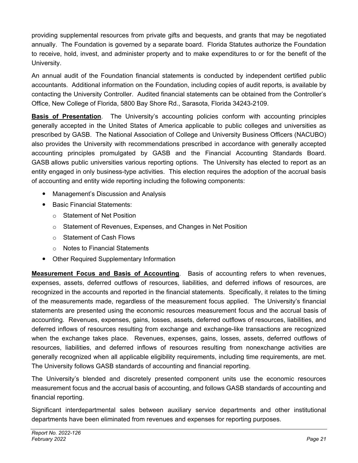providing supplemental resources from private gifts and bequests, and grants that may be negotiated annually. The Foundation is governed by a separate board. Florida Statutes authorize the Foundation to receive, hold, invest, and administer property and to make expenditures to or for the benefit of the University.

An annual audit of the Foundation financial statements is conducted by independent certified public accountants. Additional information on the Foundation, including copies of audit reports, is available by contacting the University Controller. Audited financial statements can be obtained from the Controller's Office, New College of Florida, 5800 Bay Shore Rd., Sarasota, Florida 34243-2109.

**Basis of Presentation**. The University's accounting policies conform with accounting principles generally accepted in the United States of America applicable to public colleges and universities as prescribed by GASB. The National Association of College and University Business Officers (NACUBO) also provides the University with recommendations prescribed in accordance with generally accepted accounting principles promulgated by GASB and the Financial Accounting Standards Board. GASB allows public universities various reporting options. The University has elected to report as an entity engaged in only business-type activities. This election requires the adoption of the accrual basis of accounting and entity wide reporting including the following components:

- Management's Discussion and Analysis
- Basic Financial Statements:
	- o Statement of Net Position
	- o Statement of Revenues, Expenses, and Changes in Net Position
	- o Statement of Cash Flows
	- o Notes to Financial Statements
- Other Required Supplementary Information

**Measurement Focus and Basis of Accounting**. Basis of accounting refers to when revenues, expenses, assets, deferred outflows of resources, liabilities, and deferred inflows of resources, are recognized in the accounts and reported in the financial statements. Specifically, it relates to the timing of the measurements made, regardless of the measurement focus applied. The University's financial statements are presented using the economic resources measurement focus and the accrual basis of accounting. Revenues, expenses, gains, losses, assets, deferred outflows of resources, liabilities, and deferred inflows of resources resulting from exchange and exchange-like transactions are recognized when the exchange takes place. Revenues, expenses, gains, losses, assets, deferred outflows of resources, liabilities, and deferred inflows of resources resulting from nonexchange activities are generally recognized when all applicable eligibility requirements, including time requirements, are met. The University follows GASB standards of accounting and financial reporting.

The University's blended and discretely presented component units use the economic resources measurement focus and the accrual basis of accounting, and follows GASB standards of accounting and financial reporting.

Significant interdepartmental sales between auxiliary service departments and other institutional departments have been eliminated from revenues and expenses for reporting purposes.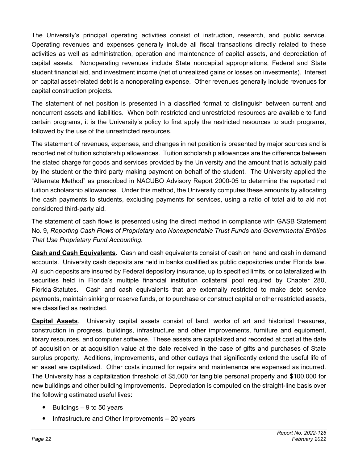The University's principal operating activities consist of instruction, research, and public service. Operating revenues and expenses generally include all fiscal transactions directly related to these activities as well as administration, operation and maintenance of capital assets, and depreciation of capital assets. Nonoperating revenues include State noncapital appropriations, Federal and State student financial aid, and investment income (net of unrealized gains or losses on investments). Interest on capital asset-related debt is a nonoperating expense. Other revenues generally include revenues for capital construction projects.

The statement of net position is presented in a classified format to distinguish between current and noncurrent assets and liabilities. When both restricted and unrestricted resources are available to fund certain programs, it is the University's policy to first apply the restricted resources to such programs, followed by the use of the unrestricted resources.

The statement of revenues, expenses, and changes in net position is presented by major sources and is reported net of tuition scholarship allowances. Tuition scholarship allowances are the difference between the stated charge for goods and services provided by the University and the amount that is actually paid by the student or the third party making payment on behalf of the student. The University applied the "Alternate Method" as prescribed in NACUBO Advisory Report 2000-05 to determine the reported net tuition scholarship allowances. Under this method, the University computes these amounts by allocating the cash payments to students, excluding payments for services, using a ratio of total aid to aid not considered third-party aid.

The statement of cash flows is presented using the direct method in compliance with GASB Statement No. 9, *Reporting Cash Flows of Proprietary and Nonexpendable Trust Funds and Governmental Entities That Use Proprietary Fund Accounting*.

**Cash and Cash Equivalents**. Cash and cash equivalents consist of cash on hand and cash in demand accounts. University cash deposits are held in banks qualified as public depositories under Florida law. All such deposits are insured by Federal depository insurance, up to specified limits, or collateralized with securities held in Florida's multiple financial institution collateral pool required by Chapter 280, Florida Statutes. Cash and cash equivalents that are externally restricted to make debt service payments, maintain sinking or reserve funds, or to purchase or construct capital or other restricted assets, are classified as restricted.

**Capital Assets**. University capital assets consist of land, works of art and historical treasures, construction in progress, buildings, infrastructure and other improvements, furniture and equipment, library resources, and computer software. These assets are capitalized and recorded at cost at the date of acquisition or at acquisition value at the date received in the case of gifts and purchases of State surplus property. Additions, improvements, and other outlays that significantly extend the useful life of an asset are capitalized. Other costs incurred for repairs and maintenance are expensed as incurred. The University has a capitalization threshold of \$5,000 for tangible personal property and \$100,000 for new buildings and other building improvements. Depreciation is computed on the straight-line basis over the following estimated useful lives:

- $\bullet$  Buildings 9 to 50 years
- $\bullet$  Infrastructure and Other Improvements  $-20$  years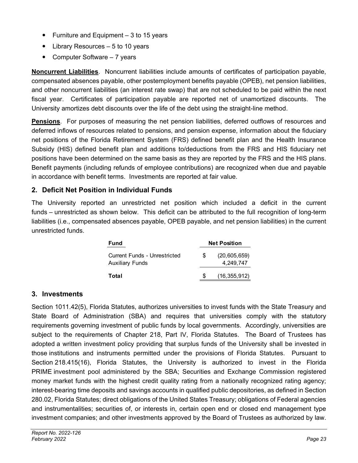- Furniture and Equipment  $-3$  to 15 years
- Library Resources 5 to 10 years
- Computer Software 7 years

**Noncurrent Liabilities**. Noncurrent liabilities include amounts of certificates of participation payable, compensated absences payable, other postemployment benefits payable (OPEB), net pension liabilities, and other noncurrent liabilities (an interest rate swap) that are not scheduled to be paid within the next fiscal year. Certificates of participation payable are reported net of unamortized discounts. The University amortizes debt discounts over the life of the debt using the straight-line method.

**Pensions**. For purposes of measuring the net pension liabilities, deferred outflows of resources and deferred inflows of resources related to pensions, and pension expense, information about the fiduciary net positions of the Florida Retirement System (FRS) defined benefit plan and the Health Insurance Subsidy (HIS) defined benefit plan and additions to/deductions from the FRS and HIS fiduciary net positions have been determined on the same basis as they are reported by the FRS and the HIS plans. Benefit payments (including refunds of employee contributions) are recognized when due and payable in accordance with benefit terms. Investments are reported at fair value.

## **2. Deficit Net Position in Individual Funds**

The University reported an unrestricted net position which included a deficit in the current funds – unrestricted as shown below. This deficit can be attributed to the full recognition of long-term liabilities (i.e., compensated absences payable, OPEB payable, and net pension liabilities) in the current unrestricted funds.

| Fund                                                          | <b>Net Position</b> |                           |  |
|---------------------------------------------------------------|---------------------|---------------------------|--|
| <b>Current Funds - Unrestricted</b><br><b>Auxiliary Funds</b> | \$.                 | (20,605,659)<br>4,249,747 |  |
| Total                                                         | \$.                 | (16, 355, 912)            |  |

## **3. Investments**

Section 1011.42(5), Florida Statutes, authorizes universities to invest funds with the State Treasury and State Board of Administration (SBA) and requires that universities comply with the statutory requirements governing investment of public funds by local governments. Accordingly, universities are subject to the requirements of Chapter 218, Part IV, Florida Statutes. The Board of Trustees has adopted a written investment policy providing that surplus funds of the University shall be invested in those institutions and instruments permitted under the provisions of Florida Statutes. Pursuant to Section 218.415(16), Florida Statutes, the University is authorized to invest in the Florida PRIME investment pool administered by the SBA; Securities and Exchange Commission registered money market funds with the highest credit quality rating from a nationally recognized rating agency; interest-bearing time deposits and savings accounts in qualified public depositories, as defined in Section 280.02, Florida Statutes; direct obligations of the United States Treasury; obligations of Federal agencies and instrumentalities; securities of, or interests in, certain open end or closed end management type investment companies; and other investments approved by the Board of Trustees as authorized by law.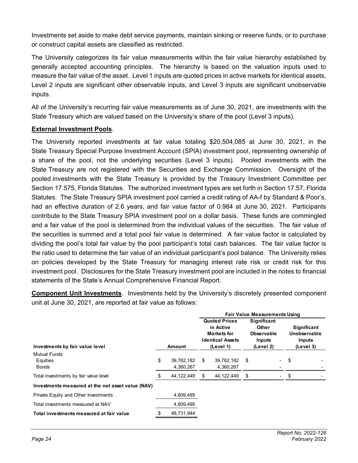Investments set aside to make debt service payments, maintain sinking or reserve funds, or to purchase or construct capital assets are classified as restricted.

The University categorizes its fair value measurements within the fair value hierarchy established by generally accepted accounting principles. The hierarchy is based on the valuation inputs used to measure the fair value of the asset. Level 1 inputs are quoted prices in active markets for identical assets, Level 2 inputs are significant other observable inputs, and Level 3 inputs are significant unobservable inputs.

All of the University's recurring fair value measurements as of June 30, 2021, are investments with the State Treasury which are valued based on the University's share of the pool (Level 3 inputs).

#### **External Investment Pools**.

The University reported investments at fair value totaling \$20,504,085 at June 30, 2021, in the State Treasury Special Purpose Investment Account (SPIA) investment pool, representing ownership of a share of the pool, not the underlying securities (Level 3 inputs). Pooled investments with the State Treasury are not registered with the Securities and Exchange Commission. Oversight of the pooled investments with the State Treasury is provided by the Treasury Investment Committee per Section 17.575, Florida Statutes. The authorized investment types are set forth in Section 17.57, Florida Statutes. The State Treasury SPIA investment pool carried a credit rating of AA-f by Standard & Poor's, had an effective duration of 2.6 years, and fair value factor of 0.984 at June 30, 2021. Participants contribute to the State Treasury SPIA investment pool on a dollar basis. These funds are commingled and a fair value of the pool is determined from the individual values of the securities. The fair value of the securities is summed and a total pool fair value is determined. A fair value factor is calculated by dividing the pool's total fair value by the pool participant's total cash balances. The fair value factor is the ratio used to determine the fair value of an individual participant's pool balance. The University relies on policies developed by the State Treasury for managing interest rate risk or credit risk for this investment pool. Disclosures for the State Treasury investment pool are included in the notes to financial statements of the State's Annual Comprehensive Financial Report.

**Component Unit Investments**. Investments held by the University's discretely presented component unit at June 30, 2021, are reported at fair value as follows:

|                                                   |    |                         | <b>Fair Value Measurements Using</b> |                                                                                                 |     |                                                                         |                                                           |
|---------------------------------------------------|----|-------------------------|--------------------------------------|-------------------------------------------------------------------------------------------------|-----|-------------------------------------------------------------------------|-----------------------------------------------------------|
| Investments by fair value level                   |    | <b>Amount</b>           |                                      | <b>Quoted Prices</b><br>in Active<br><b>Markets for</b><br><b>Identical Assets</b><br>(Level 1) |     | <b>Significant</b><br><b>Other</b><br>Observable<br>Inputs<br>(Level 2) | <b>Significant</b><br>Unobservable<br>Inputs<br>(Level 3) |
| Mutual Funds<br>Equities<br><b>Bonds</b>          | \$ | 39,762,182<br>4,360,267 | \$                                   | 39,762,182<br>4,360,267                                                                         | -\$ | $\overline{\phantom{0}}$                                                | \$                                                        |
| Total investments by fair value level             | S  | 44, 122, 449            |                                      | 44,122,449                                                                                      | £.  |                                                                         | \$                                                        |
| Investments measured at the net asset value (NAV) |    |                         |                                      |                                                                                                 |     |                                                                         |                                                           |
| Private Equity and Other Investments              |    | 4,609,495               |                                      |                                                                                                 |     |                                                                         |                                                           |
| Total investments measured at NAV                 |    | 4,609,495               |                                      |                                                                                                 |     |                                                                         |                                                           |
| Total investments measured at fair value          |    | 48,731,944              |                                      |                                                                                                 |     |                                                                         |                                                           |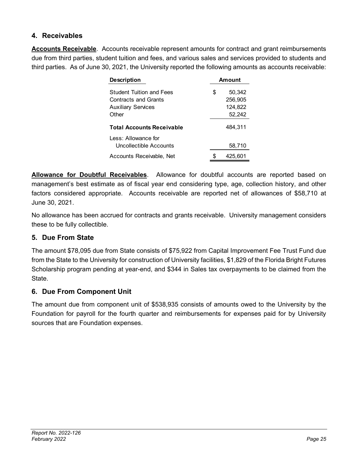## **4. Receivables**

**Accounts Receivable**. Accounts receivable represent amounts for contract and grant reimbursements due from third parties, student tuition and fees, and various sales and services provided to students and third parties. As of June 30, 2021, the University reported the following amounts as accounts receivable:

| <b>Description</b>                                                                            | <b>Amount</b> |                                        |
|-----------------------------------------------------------------------------------------------|---------------|----------------------------------------|
| <b>Student Tuition and Fees</b><br>Contracts and Grants<br><b>Auxiliary Services</b><br>Other | \$            | 50,342<br>256,905<br>124,822<br>52,242 |
| <b>Total Accounts Receivable</b>                                                              |               | 484.311                                |
| Less: Allowance for<br>Uncollectible Accounts                                                 |               | 58,710                                 |
| Accounts Receivable, Net                                                                      |               | 425.601                                |

**Allowance for Doubtful Receivables**. Allowance for doubtful accounts are reported based on management's best estimate as of fiscal year end considering type, age, collection history, and other factors considered appropriate. Accounts receivable are reported net of allowances of \$58,710 at June 30, 2021.

No allowance has been accrued for contracts and grants receivable. University management considers these to be fully collectible.

## **5. Due From State**

The amount \$78,095 due from State consists of \$75,922 from Capital Improvement Fee Trust Fund due from the State to the University for construction of University facilities, \$1,829 of the Florida Bright Futures Scholarship program pending at year-end, and \$344 in Sales tax overpayments to be claimed from the State.

## **6. Due From Component Unit**

The amount due from component unit of \$538,935 consists of amounts owed to the University by the Foundation for payroll for the fourth quarter and reimbursements for expenses paid for by University sources that are Foundation expenses.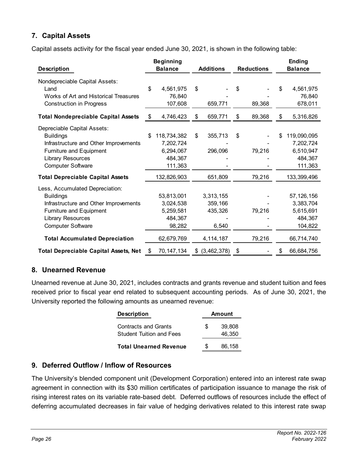## **7. Capital Assets**

Capital assets activity for the fiscal year ended June 30, 2021, is shown in the following table:

|                                              | <b>Beginning</b>   |                  |                   | <b>Ending</b>     |
|----------------------------------------------|--------------------|------------------|-------------------|-------------------|
| <b>Description</b>                           | <b>Balance</b>     | <b>Additions</b> | <b>Reductions</b> | <b>Balance</b>    |
| Nondepreciable Capital Assets:               |                    |                  |                   |                   |
| Land                                         | \$<br>4,561,975    | \$               | \$                | \$<br>4,561,975   |
| Works of Art and Historical Treasures        | 76,840             |                  |                   | 76,840            |
| <b>Construction in Progress</b>              | 107,608            | 659,771          | 89,368            | 678,011           |
| <b>Total Nondepreciable Capital Assets</b>   | \$<br>4,746,423    | \$<br>659,771    | \$<br>89,368      | \$<br>5,316,826   |
| Depreciable Capital Assets:                  |                    |                  |                   |                   |
| <b>Buildings</b>                             | \$<br>118,734,382  | \$<br>355,713    | \$                | \$<br>119,090,095 |
| Infrastructure and Other Improvements        | 7,202,724          |                  |                   | 7,202,724         |
| Furniture and Equipment                      | 6,294,067          | 296,096          | 79,216            | 6,510,947         |
| <b>Library Resources</b>                     | 484,367            |                  |                   | 484,367           |
| <b>Computer Software</b>                     | 111,363            |                  |                   | 111,363           |
| <b>Total Depreciable Capital Assets</b>      | 132,826,903        | 651,809          | 79,216            | 133,399,496       |
| Less, Accumulated Depreciation:              |                    |                  |                   |                   |
| <b>Buildings</b>                             | 53,813,001         | 3,313,155        |                   | 57, 126, 156      |
| Infrastructure and Other Improvements        | 3,024,538          | 359,166          |                   | 3,383,704         |
| <b>Furniture and Equipment</b>               | 5,259,581          | 435,326          | 79,216            | 5,615,691         |
| <b>Library Resources</b>                     | 484,367            |                  |                   | 484,367           |
| <b>Computer Software</b>                     | 98,282             | 6,540            |                   | 104,822           |
| <b>Total Accumulated Depreciation</b>        | 62,679,769         | 4, 114, 187      | 79,216            | 66,714,740        |
| <b>Total Depreciable Capital Assets, Net</b> | \$<br>70, 147, 134 | $$$ (3,462,378)  | \$                | \$<br>66,684,756  |

## **8. Unearned Revenue**

Unearned revenue at June 30, 2021, includes contracts and grants revenue and student tuition and fees received prior to fiscal year end related to subsequent accounting periods. As of June 30, 2021, the University reported the following amounts as unearned revenue:

| <b>Description</b><br>Amount                                   |     |                  |
|----------------------------------------------------------------|-----|------------------|
| <b>Contracts and Grants</b><br><b>Student Tuition and Fees</b> | \$. | 39,808<br>46,350 |
| <b>Total Unearned Revenue</b>                                  |     | 86,158           |

## **9. Deferred Outflow / Inflow of Resources**

The University's blended component unit (Development Corporation) entered into an interest rate swap agreement in connection with its \$30 million certificates of participation issuance to manage the risk of rising interest rates on its variable rate-based debt. Deferred outflows of resources include the effect of deferring accumulated decreases in fair value of hedging derivatives related to this interest rate swap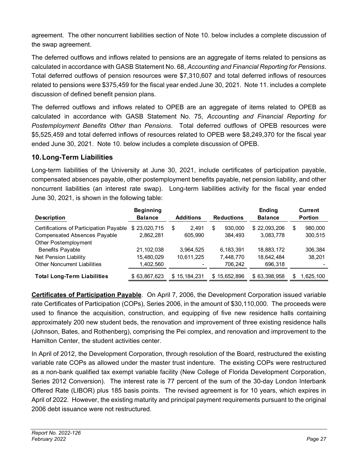agreement. The other noncurrent liabilities section of Note 10. below includes a complete discussion of the swap agreement.

The deferred outflows and inflows related to pensions are an aggregate of items related to pensions as calculated in accordance with GASB Statement No. 68, *Accounting and Financial Reporting for Pensions*. Total deferred outflows of pension resources were \$7,310,607 and total deferred inflows of resources related to pensions were \$375,459 for the fiscal year ended June 30, 2021. Note 11. includes a complete discussion of defined benefit pension plans.

The deferred outflows and inflows related to OPEB are an aggregate of items related to OPEB as calculated in accordance with GASB Statement No. 75, *Accounting and Financial Reporting for Postemployment Benefits Other than Pensions*. Total deferred outflows of OPEB resources were \$5,525,459 and total deferred inflows of resources related to OPEB were \$8,249,370 for the fiscal year ended June 30, 2021. Note 10. below includes a complete discussion of OPEB.

#### **10. Long-Term Liabilities**

Long-term liabilities of the University at June 30, 2021, include certificates of participation payable, compensated absences payable, other postemployment benefits payable, net pension liability, and other noncurrent liabilities (an interest rate swap). Long-term liabilities activity for the fiscal year ended June 30, 2021, is shown in the following table:

| <b>Description</b>                      | <b>Beginning</b><br><b>Balance</b> | <b>Reductions</b><br><b>Additions</b> |               | <b>Ending</b><br><b>Balance</b> |                |
|-----------------------------------------|------------------------------------|---------------------------------------|---------------|---------------------------------|----------------|
| Certifications of Participation Payable | \$23,020,715                       | 2.491<br>S                            | \$<br>930,000 | \$22,093,206                    | \$<br>980,000  |
| <b>Compensated Absences Payable</b>     | 2,862,281                          | 605.990                               | 384.493       | 3,083,778                       | 300,515        |
| Other Postemployment                    |                                    |                                       |               |                                 |                |
| <b>Benefits Payable</b>                 | 21,102,038                         | 3,964,525                             | 6,183,391     | 18,883,172                      | 306,384        |
| Net Pension Liability                   | 15.480.029                         | 10.611.225                            | 7.448.770     | 18,642,484                      | 38,201         |
| <b>Other Noncurrent Liabilities</b>     | 1,402,560                          |                                       | 706,242       | 696,318                         |                |
| <b>Total Long-Term Liabilities</b>      | \$63,867,623                       | 15, 184, 231<br>\$.                   | \$15,652,896  | \$63,398,958                    | .625.100<br>\$ |

**Certificates of Participation Payable**. On April 7, 2006, the Development Corporation issued variable rate Certificates of Participation (COPs), Series 2006, in the amount of \$30,110,000. The proceeds were used to finance the acquisition, construction, and equipping of five new residence halls containing approximately 200 new student beds, the renovation and improvement of three existing residence halls (Johnson, Bates, and Rothenberg), comprising the Pei complex, and renovation and improvement to the Hamilton Center, the student activities center.

In April of 2012, the Development Corporation, through resolution of the Board, restructured the existing variable rate COPs as allowed under the master trust indenture. The existing COPs were restructured as a non-bank qualified tax exempt variable facility (New College of Florida Development Corporation, Series 2012 Conversion). The interest rate is 77 percent of the sum of the 30-day London Interbank Offered Rate (LIBOR) plus 185 basis points. The revised agreement is for 10 years, which expires in April of 2022. However, the existing maturity and principal payment requirements pursuant to the original 2006 debt issuance were not restructured.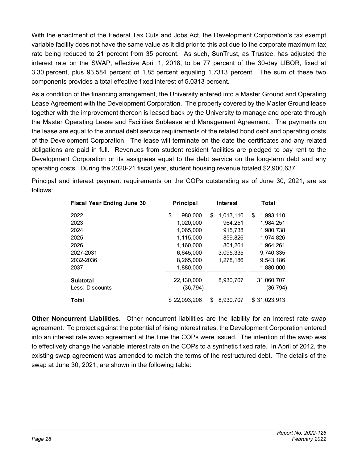With the enactment of the Federal Tax Cuts and Jobs Act, the Development Corporation's tax exempt variable facility does not have the same value as it did prior to this act due to the corporate maximum tax rate being reduced to 21 percent from 35 percent. As such, SunTrust, as Trustee, has adjusted the interest rate on the SWAP, effective April 1, 2018, to be 77 percent of the 30-day LIBOR, fixed at 3.30 percent, plus 93.584 percent of 1.85 percent equaling 1.7313 percent. The sum of these two components provides a total effective fixed interest of 5.0313 percent.

As a condition of the financing arrangement, the University entered into a Master Ground and Operating Lease Agreement with the Development Corporation. The property covered by the Master Ground lease together with the improvement thereon is leased back by the University to manage and operate through the Master Operating Lease and Facilities Sublease and Management Agreement. The payments on the lease are equal to the annual debt service requirements of the related bond debt and operating costs of the Development Corporation. The lease will terminate on the date the certificates and any related obligations are paid in full. Revenues from student resident facilities are pledged to pay rent to the Development Corporation or its assignees equal to the debt service on the long-term debt and any operating costs. During the 2020-21 fiscal year, student housing revenue totaled \$2,900,637.

Principal and interest payment requirements on the COPs outstanding as of June 30, 2021, are as follows:

| <b>Fiscal Year Ending June 30</b>                              | <b>Principal</b>                                                                            | Interest                                                                              | Total                                                                                         |
|----------------------------------------------------------------|---------------------------------------------------------------------------------------------|---------------------------------------------------------------------------------------|-----------------------------------------------------------------------------------------------|
| 2022<br>2023<br>2024<br>2025<br>2026<br>2027-2031<br>2032-2036 | \$<br>980,000<br>1,020,000<br>1,065,000<br>1.115.000<br>1,160,000<br>6.645.000<br>8,265,000 | 1.013.110<br>\$<br>964,251<br>915,738<br>859,826<br>804,261<br>3,095,335<br>1,278,186 | 1,993,110<br>\$<br>1,984,251<br>1,980,738<br>1.974.826<br>1,964,261<br>9,740,335<br>9,543,186 |
| 2037                                                           | 1.880.000                                                                                   |                                                                                       | 1,880,000                                                                                     |
| <b>Subtotal</b><br>Less: Discounts                             | 22,130,000<br>(36,794)                                                                      | 8.930.707                                                                             | 31,060,707<br>(36,794)                                                                        |
| Total                                                          | \$22,093,206                                                                                | \$<br>8,930,707                                                                       | \$31,023,913                                                                                  |

**Other Noncurrent Liabilities**. Other noncurrent liabilities are the liability for an interest rate swap agreement. To protect against the potential of rising interest rates, the Development Corporation entered into an interest rate swap agreement at the time the COPs were issued. The intention of the swap was to effectively change the variable interest rate on the COPs to a synthetic fixed rate. In April of 2012, the existing swap agreement was amended to match the terms of the restructured debt. The details of the swap at June 30, 2021, are shown in the following table: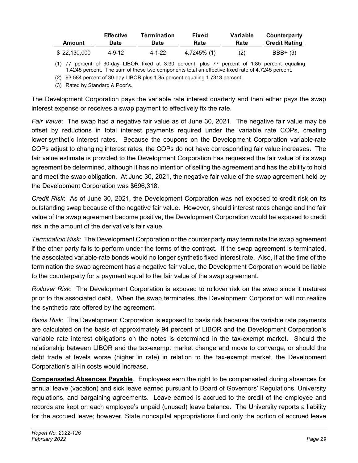|              | <b>Effective</b><br>Date | Termination<br>Date | Fixed       | Variable | Counterparty         |
|--------------|--------------------------|---------------------|-------------|----------|----------------------|
| Amount       |                          |                     | Rate        | Rate     | <b>Credit Rating</b> |
| \$22,130,000 | $4 - 9 - 12$             | $4 - 1 - 22$        | 4.7245% (1) | (2)      | $BBB+ (3)$           |

(1) 77 percent of 30-day LIBOR fixed at 3.30 percent, plus 77 percent of 1.85 percent equaling 1.4245 percent. The sum of these two components total an effective fixed rate of 4.7245 percent.

(2) 93.584 percent of 30-day LIBOR plus 1.85 percent equaling 1.7313 percent.

(3) Rated by Standard & Poor's.

The Development Corporation pays the variable rate interest quarterly and then either pays the swap interest expense or receives a swap payment to effectively fix the rate.

*Fair Value*: The swap had a negative fair value as of June 30, 2021. The negative fair value may be offset by reductions in total interest payments required under the variable rate COPs, creating lower synthetic interest rates. Because the coupons on the Development Corporation variable-rate COPs adjust to changing interest rates, the COPs do not have corresponding fair value increases. The fair value estimate is provided to the Development Corporation has requested the fair value of its swap agreement be determined, although it has no intention of selling the agreement and has the ability to hold and meet the swap obligation. At June 30, 2021, the negative fair value of the swap agreement held by the Development Corporation was \$696,318.

*Credit Risk*: As of June 30, 2021, the Development Corporation was not exposed to credit risk on its outstanding swap because of the negative fair value. However, should interest rates change and the fair value of the swap agreement become positive, the Development Corporation would be exposed to credit risk in the amount of the derivative's fair value.

*Termination Risk*: The Development Corporation or the counter party may terminate the swap agreement if the other party fails to perform under the terms of the contract. If the swap agreement is terminated, the associated variable-rate bonds would no longer synthetic fixed interest rate. Also, if at the time of the termination the swap agreement has a negative fair value, the Development Corporation would be liable to the counterparty for a payment equal to the fair value of the swap agreement.

*Rollover Risk*: The Development Corporation is exposed to rollover risk on the swap since it matures prior to the associated debt. When the swap terminates, the Development Corporation will not realize the synthetic rate offered by the agreement.

*Basis Risk*: The Development Corporation is exposed to basis risk because the variable rate payments are calculated on the basis of approximately 94 percent of LIBOR and the Development Corporation's variable rate interest obligations on the notes is determined in the tax-exempt market. Should the relationship between LIBOR and the tax-exempt market change and move to converge, or should the debt trade at levels worse (higher in rate) in relation to the tax-exempt market, the Development Corporation's all-in costs would increase.

**Compensated Absences Payable**. Employees earn the right to be compensated during absences for annual leave (vacation) and sick leave earned pursuant to Board of Governors' Regulations, University regulations, and bargaining agreements. Leave earned is accrued to the credit of the employee and records are kept on each employee's unpaid (unused) leave balance. The University reports a liability for the accrued leave; however, State noncapital appropriations fund only the portion of accrued leave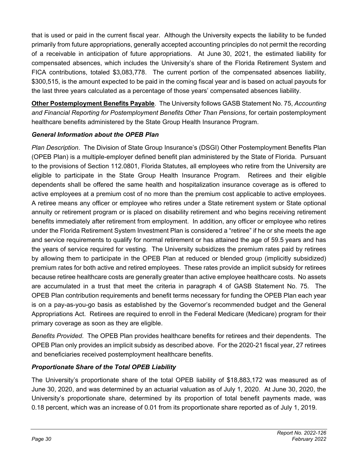that is used or paid in the current fiscal year. Although the University expects the liability to be funded primarily from future appropriations, generally accepted accounting principles do not permit the recording of a receivable in anticipation of future appropriations. At June 30, 2021, the estimated liability for compensated absences, which includes the University's share of the Florida Retirement System and FICA contributions, totaled \$3,083,778. The current portion of the compensated absences liability, \$300,515, is the amount expected to be paid in the coming fiscal year and is based on actual payouts for the last three years calculated as a percentage of those years' compensated absences liability.

**Other Postemployment Benefits Payable**. The University follows GASB Statement No. 75, *Accounting and Financial Reporting for Postemployment Benefits Other Than Pensions*, for certain postemployment healthcare benefits administered by the State Group Health Insurance Program.

## *General Information about the OPEB Plan*

*Plan Description*. The Division of State Group Insurance's (DSGI) Other Postemployment Benefits Plan (OPEB Plan) is a multiple-employer defined benefit plan administered by the State of Florida. Pursuant to the provisions of Section 112.0801, Florida Statutes, all employees who retire from the University are eligible to participate in the State Group Health Insurance Program. Retirees and their eligible dependents shall be offered the same health and hospitalization insurance coverage as is offered to active employees at a premium cost of no more than the premium cost applicable to active employees. A retiree means any officer or employee who retires under a State retirement system or State optional annuity or retirement program or is placed on disability retirement and who begins receiving retirement benefits immediately after retirement from employment. In addition, any officer or employee who retires under the Florida Retirement System Investment Plan is considered a "retiree" if he or she meets the age and service requirements to qualify for normal retirement or has attained the age of 59.5 years and has the years of service required for vesting. The University subsidizes the premium rates paid by retirees by allowing them to participate in the OPEB Plan at reduced or blended group (implicitly subsidized) premium rates for both active and retired employees. These rates provide an implicit subsidy for retirees because retiree healthcare costs are generally greater than active employee healthcare costs. No assets are accumulated in a trust that meet the criteria in paragraph 4 of GASB Statement No. 75. The OPEB Plan contribution requirements and benefit terms necessary for funding the OPEB Plan each year is on a pay-as-you-go basis as established by the Governor's recommended budget and the General Appropriations Act. Retirees are required to enroll in the Federal Medicare (Medicare) program for their primary coverage as soon as they are eligible.

*Benefits Provided*. The OPEB Plan provides healthcare benefits for retirees and their dependents. The OPEB Plan only provides an implicit subsidy as described above. For the 2020-21 fiscal year, 27 retirees and beneficiaries received postemployment healthcare benefits.

#### *Proportionate Share of the Total OPEB Liability*

The University's proportionate share of the total OPEB liability of \$18,883,172 was measured as of June 30, 2020, and was determined by an actuarial valuation as of July 1, 2020. At June 30, 2020, the University's proportionate share, determined by its proportion of total benefit payments made, was 0.18 percent, which was an increase of 0.01 from its proportionate share reported as of July 1, 2019.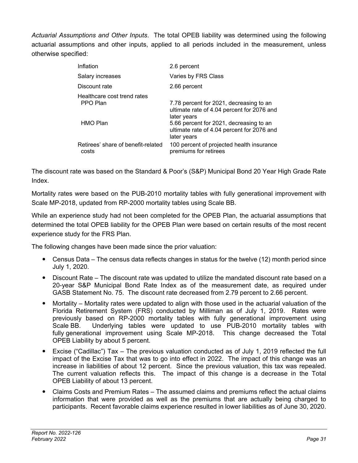*Actuarial Assumptions and Other Inputs*. The total OPEB liability was determined using the following actuarial assumptions and other inputs, applied to all periods included in the measurement, unless otherwise specified:

| Inflation                                   | 2.6 percent                                                                                          |
|---------------------------------------------|------------------------------------------------------------------------------------------------------|
| Salary increases                            | Varies by FRS Class                                                                                  |
| Discount rate                               | 2.66 percent                                                                                         |
| Healthcare cost trend rates<br>PPO Plan     | 7.78 percent for 2021, decreasing to an<br>ultimate rate of 4.04 percent for 2076 and<br>later years |
| <b>HMO Plan</b>                             | 5.66 percent for 2021, decreasing to an<br>ultimate rate of 4.04 percent for 2076 and<br>later years |
| Retirees' share of benefit-related<br>costs | 100 percent of projected health insurance<br>premiums for retirees                                   |

The discount rate was based on the Standard & Poor's (S&P) Municipal Bond 20 Year High Grade Rate Index.

Mortality rates were based on the PUB-2010 mortality tables with fully generational improvement with Scale MP-2018, updated from RP-2000 mortality tables using Scale BB.

While an experience study had not been completed for the OPEB Plan, the actuarial assumptions that determined the total OPEB liability for the OPEB Plan were based on certain results of the most recent experience study for the FRS Plan.

The following changes have been made since the prior valuation:

- Census Data The census data reflects changes in status for the twelve (12) month period since July 1, 2020.
- Discount Rate The discount rate was updated to utilize the mandated discount rate based on a 20-year S&P Municipal Bond Rate Index as of the measurement date, as required under GASB Statement No. 75. The discount rate decreased from 2.79 percent to 2.66 percent.
- Mortality Mortality rates were updated to align with those used in the actuarial valuation of the Florida Retirement System (FRS) conducted by Milliman as of July 1, 2019. Rates were previously based on RP-2000 mortality tables with fully generational improvement using Scale BB. Underlying tables were updated to use PUB-2010 mortality tables with fully generational improvement using Scale MP-2018. This change decreased the Total OPEB Liability by about 5 percent.
- Excise ("Cadillac") Tax The previous valuation conducted as of July 1, 2019 reflected the full impact of the Excise Tax that was to go into effect in 2022. The impact of this change was an increase in liabilities of about 12 percent. Since the previous valuation, this tax was repealed. The current valuation reflects this. The impact of this change is a decrease in the Total OPEB Liability of about 13 percent.
- Claims Costs and Premium Rates The assumed claims and premiums reflect the actual claims information that were provided as well as the premiums that are actually being charged to participants. Recent favorable claims experience resulted in lower liabilities as of June 30, 2020.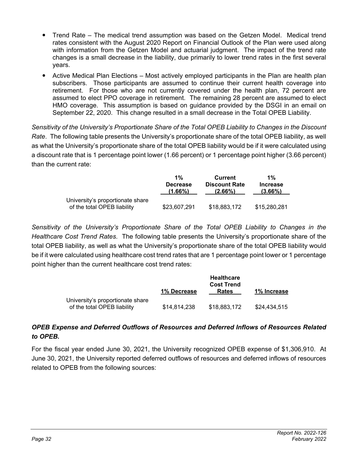- Trend Rate The medical trend assumption was based on the Getzen Model. Medical trend rates consistent with the August 2020 Report on Financial Outlook of the Plan were used along with information from the Getzen Model and actuarial judgment. The impact of the trend rate changes is a small decrease in the liability, due primarily to lower trend rates in the first several years.
- Active Medical Plan Elections Most actively employed participants in the Plan are health plan subscribers. Those participants are assumed to continue their current health coverage into retirement. For those who are not currently covered under the health plan, 72 percent are assumed to elect PPO coverage in retirement. The remaining 28 percent are assumed to elect HMO coverage. This assumption is based on guidance provided by the DSGI in an email on September 22, 2020. This change resulted in a small decrease in the Total OPEB Liability.

*Sensitivity of the University's Proportionate Share of the Total OPEB Liability to Changes in the Discount Rate*. The following table presents the University's proportionate share of the total OPEB liability, as well as what the University's proportionate share of the total OPEB liability would be if it were calculated using a discount rate that is 1 percentage point lower (1.66 percent) or 1 percentage point higher (3.66 percent) than the current rate:

|                                                                 | $1\%$           | Current              | $1\%$           |
|-----------------------------------------------------------------|-----------------|----------------------|-----------------|
|                                                                 | <b>Decrease</b> | <b>Discount Rate</b> | <b>Increase</b> |
|                                                                 | $(1.66\%)$      | $(2.66\%)$           | $(3.66\%)$      |
| University's proportionate share<br>of the total OPEB liability | \$23,607,291    | \$18,883,172         | \$15,280,281    |

*Sensitivity of the University's Proportionate Share of the Total OPEB Liability to Changes in the Healthcare Cost Trend Rates*. The following table presents the University's proportionate share of the total OPEB liability, as well as what the University's proportionate share of the total OPEB liability would be if it were calculated using healthcare cost trend rates that are 1 percentage point lower or 1 percentage point higher than the current healthcare cost trend rates:

|                                  | 1% Decrease  | <b>Healthcare</b><br><b>Cost Trend</b><br><b>Rates</b> | 1% Increase  |
|----------------------------------|--------------|--------------------------------------------------------|--------------|
| University's proportionate share |              |                                                        |              |
| of the total OPEB liability      | \$14,814,238 | \$18,883,172                                           | \$24,434,515 |

## *OPEB Expense and Deferred Outflows of Resources and Deferred Inflows of Resources Related to OPEB***.**

For the fiscal year ended June 30, 2021, the University recognized OPEB expense of \$1,306,910. At June 30, 2021, the University reported deferred outflows of resources and deferred inflows of resources related to OPEB from the following sources: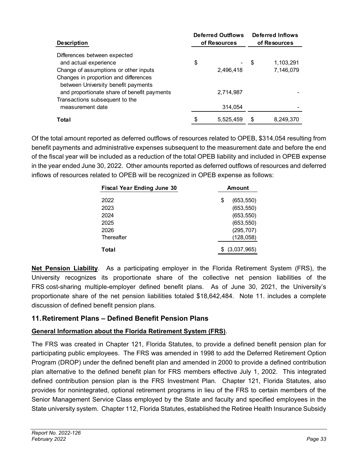| <b>Description</b>                                                           | <b>Deferred Outflows</b><br>of Resources |      | <b>Deferred Inflows</b><br>of Resources |
|------------------------------------------------------------------------------|------------------------------------------|------|-----------------------------------------|
| Differences between expected                                                 |                                          |      |                                         |
| and actual experience                                                        | \$                                       | - \$ | 1,103,291                               |
| Change of assumptions or other inputs                                        | 2,496,418                                |      | 7,146,079                               |
| Changes in proportion and differences<br>between University benefit payments |                                          |      |                                         |
| and proportionate share of benefit payments                                  | 2,714,987                                |      |                                         |
| Transactions subsequent to the                                               |                                          |      |                                         |
| measurement date                                                             | 314,054                                  |      |                                         |
| Total                                                                        | \$<br>5.525.459                          | S    | 8,249,370                               |

Of the total amount reported as deferred outflows of resources related to OPEB, \$314,054 resulting from benefit payments and administrative expenses subsequent to the measurement date and before the end of the fiscal year will be included as a reduction of the total OPEB liability and included in OPEB expense in the year ended June 30, 2022. Other amounts reported as deferred outflows of resources and deferred inflows of resources related to OPEB will be recognized in OPEB expense as follows:

| <b>Fiscal Year Ending June 30</b> | <b>Amount</b>                  |  |
|-----------------------------------|--------------------------------|--|
| 2022<br>2023                      | \$<br>(653, 550)<br>(653, 550) |  |
| 2024                              | (653, 550)                     |  |
| 2025<br>2026                      | (653, 550)<br>(295, 707)       |  |
| Thereafter                        | (128, 058)                     |  |
| Total                             | (3,037,965)                    |  |

**Net Pension Liability**. As a participating employer in the Florida Retirement System (FRS), the University recognizes its proportionate share of the collective net pension liabilities of the FRS cost-sharing multiple-employer defined benefit plans. As of June 30, 2021, the University's proportionate share of the net pension liabilities totaled \$18,642,484. Note 11. includes a complete discussion of defined benefit pension plans.

## **11. Retirement Plans – Defined Benefit Pension Plans**

## **General Information about the Florida Retirement System (FRS)**.

The FRS was created in Chapter 121, Florida Statutes, to provide a defined benefit pension plan for participating public employees. The FRS was amended in 1998 to add the Deferred Retirement Option Program (DROP) under the defined benefit plan and amended in 2000 to provide a defined contribution plan alternative to the defined benefit plan for FRS members effective July 1, 2002. This integrated defined contribution pension plan is the FRS Investment Plan. Chapter 121, Florida Statutes, also provides for nonintegrated, optional retirement programs in lieu of the FRS to certain members of the Senior Management Service Class employed by the State and faculty and specified employees in the State university system. Chapter 112, Florida Statutes, established the Retiree Health Insurance Subsidy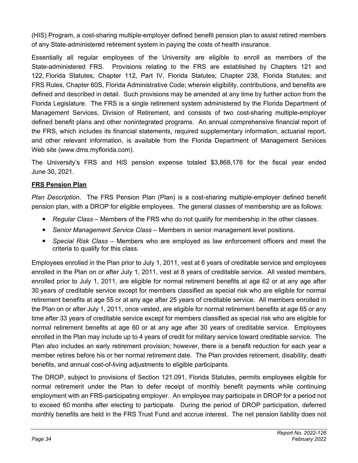(HIS) Program, a cost-sharing multiple-employer defined benefit pension plan to assist retired members of any State-administered retirement system in paying the costs of health insurance.

Essentially all regular employees of the University are eligible to enroll as members of the State-administered FRS. Provisions relating to the FRS are established by Chapters 121 and 122, Florida Statutes; Chapter 112, Part IV, Florida Statutes; Chapter 238, Florida Statutes; and FRS Rules, Chapter 60S, Florida Administrative Code; wherein eligibility, contributions, and benefits are defined and described in detail. Such provisions may be amended at any time by further action from the Florida Legislature. The FRS is a single retirement system administered by the Florida Department of Management Services, Division of Retirement, and consists of two cost-sharing multiple-employer defined benefit plans and other nonintegrated programs. An annual comprehensive financial report of the FRS, which includes its financial statements, required supplementary information, actuarial report, and other relevant information, is available from the Florida Department of Management Services Web site (www.dms.myflorida.com).

The University's FRS and HIS pension expense totaled \$3,868,176 for the fiscal year ended June 30, 2021.

#### **FRS Pension Plan**

*Plan Description*. The FRS Pension Plan (Plan) is a cost-sharing multiple-employer defined benefit pension plan, with a DROP for eligible employees. The general classes of membership are as follows:

- *Regular Class* Members of the FRS who do not qualify for membership in the other classes.
- *Senior Management Service Class* Members in senior management level positions.
- *Special Risk Class* Members who are employed as law enforcement officers and meet the criteria to qualify for this class.

Employees enrolled in the Plan prior to July 1, 2011, vest at 6 years of creditable service and employees enrolled in the Plan on or after July 1, 2011, vest at 8 years of creditable service. All vested members, enrolled prior to July 1, 2011, are eligible for normal retirement benefits at age 62 or at any age after 30 years of creditable service except for members classified as special risk who are eligible for normal retirement benefits at age 55 or at any age after 25 years of creditable service. All members enrolled in the Plan on or after July 1, 2011, once vested, are eligible for normal retirement benefits at age 65 or any time after 33 years of creditable service except for members classified as special risk who are eligible for normal retirement benefits at age 60 or at any age after 30 years of creditable service. Employees enrolled in the Plan may include up to 4 years of credit for military service toward creditable service. The Plan also includes an early retirement provision; however, there is a benefit reduction for each year a member retires before his or her normal retirement date. The Plan provides retirement, disability, death benefits, and annual cost-of-living adjustments to eligible participants.

The DROP, subject to provisions of Section 121.091, Florida Statutes, permits employees eligible for normal retirement under the Plan to defer receipt of monthly benefit payments while continuing employment with an FRS-participating employer. An employee may participate in DROP for a period not to exceed 60 months after electing to participate. During the period of DROP participation, deferred monthly benefits are held in the FRS Trust Fund and accrue interest. The net pension liability does not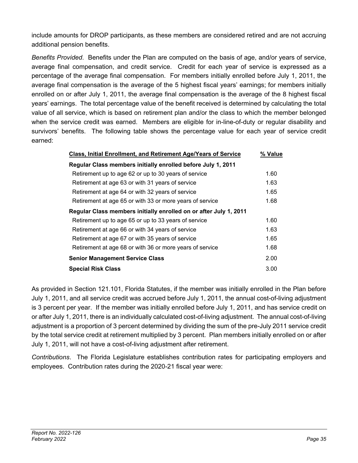include amounts for DROP participants, as these members are considered retired and are not accruing additional pension benefits.

*Benefits Provided*. Benefits under the Plan are computed on the basis of age, and/or years of service, average final compensation, and credit service. Credit for each year of service is expressed as a percentage of the average final compensation. For members initially enrolled before July 1, 2011, the average final compensation is the average of the 5 highest fiscal years' earnings; for members initially enrolled on or after July 1, 2011, the average final compensation is the average of the 8 highest fiscal years' earnings. The total percentage value of the benefit received is determined by calculating the total value of all service, which is based on retirement plan and/or the class to which the member belonged when the service credit was earned. Members are eligible for in-line-of-duty or regular disability and survivors' benefits. The following table shows the percentage value for each year of service credit earned:

| Class, Initial Enrollment, and Retirement Age/Years of Service    | % Value |
|-------------------------------------------------------------------|---------|
| Regular Class members initially enrolled before July 1, 2011      |         |
| Retirement up to age 62 or up to 30 years of service              | 1.60    |
| Retirement at age 63 or with 31 years of service                  | 1.63    |
| Retirement at age 64 or with 32 years of service                  | 1.65    |
| Retirement at age 65 or with 33 or more years of service          | 1.68    |
| Regular Class members initially enrolled on or after July 1, 2011 |         |
| Retirement up to age 65 or up to 33 years of service              | 1.60    |
| Retirement at age 66 or with 34 years of service                  | 1.63    |
| Retirement at age 67 or with 35 years of service                  | 1.65    |
| Retirement at age 68 or with 36 or more years of service          | 1.68    |
| <b>Senior Management Service Class</b>                            | 2.00    |
| <b>Special Risk Class</b>                                         | 3.00    |
|                                                                   |         |

As provided in Section 121.101, Florida Statutes, if the member was initially enrolled in the Plan before July 1, 2011, and all service credit was accrued before July 1, 2011, the annual cost-of-living adjustment is 3 percent per year. If the member was initially enrolled before July 1, 2011, and has service credit on or after July 1, 2011, there is an individually calculated cost-of-living adjustment. The annual cost-of-living adjustment is a proportion of 3 percent determined by dividing the sum of the pre-July 2011 service credit by the total service credit at retirement multiplied by 3 percent. Plan members initially enrolled on or after July 1, 2011, will not have a cost-of-living adjustment after retirement.

*Contributions*. The Florida Legislature establishes contribution rates for participating employers and employees. Contribution rates during the 2020-21 fiscal year were: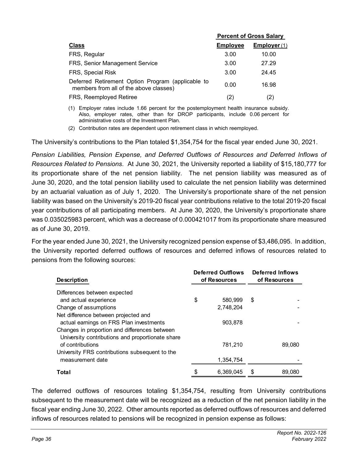|                                                                                             |                 | <b>Percent of Gross Salary</b> |
|---------------------------------------------------------------------------------------------|-----------------|--------------------------------|
| <b>Class</b>                                                                                | <b>Employee</b> | Employer $(1)$                 |
| FRS, Regular                                                                                | 3.00            | 10.00                          |
| FRS, Senior Management Service                                                              | 3.00            | 27.29                          |
| FRS, Special Risk                                                                           | 3.00            | 24.45                          |
| Deferred Retirement Option Program (applicable to<br>members from all of the above classes) | 0.00            | 16.98                          |
| FRS, Reemployed Retiree                                                                     | (2)             | (2)                            |

(1) Employer rates include 1.66 percent for the postemployment health insurance subsidy. Also, employer rates, other than for DROP participants, include 0.06 percent for administrative costs of the Investment Plan.

(2) Contribution rates are dependent upon retirement class in which reemployed.

The University's contributions to the Plan totaled \$1,354,754 for the fiscal year ended June 30, 2021.

*Pension Liabilities, Pension Expense, and Deferred Outflows of Resources and Deferred Inflows of Resources Related to Pensions*. At June 30, 2021, the University reported a liability of \$15,180,777 for its proportionate share of the net pension liability. The net pension liability was measured as of June 30, 2020, and the total pension liability used to calculate the net pension liability was determined by an actuarial valuation as of July 1, 2020. The University's proportionate share of the net pension liability was based on the University's 2019-20 fiscal year contributions relative to the total 2019-20 fiscal year contributions of all participating members. At June 30, 2020, the University's proportionate share was 0.035025983 percent, which was a decrease of 0.000421017 from its proportionate share measured as of June 30, 2019.

For the year ended June 30, 2021, the University recognized pension expense of \$3,486,095. In addition, the University reported deferred outflows of resources and deferred inflows of resources related to pensions from the following sources:

| <b>Description</b>                                                                                | <b>Deferred Outflows</b><br>of Resources |    | Deferred Inflows<br>of Resources |
|---------------------------------------------------------------------------------------------------|------------------------------------------|----|----------------------------------|
| Differences between expected                                                                      |                                          |    |                                  |
| and actual experience                                                                             | \$<br>580.999                            | S  |                                  |
| Change of assumptions                                                                             | 2,748,204                                |    |                                  |
| Net difference between projected and                                                              |                                          |    |                                  |
| actual earnings on FRS Plan investments                                                           | 903,878                                  |    |                                  |
| Changes in proportion and differences between<br>University contributions and proportionate share |                                          |    |                                  |
| of contributions                                                                                  | 781.210                                  |    | 89.080                           |
| University FRS contributions subsequent to the                                                    |                                          |    |                                  |
| measurement date                                                                                  | 1,354,754                                |    |                                  |
| Total                                                                                             | \$<br>6,369,045                          | \$ | 89,080                           |

The deferred outflows of resources totaling \$1,354,754, resulting from University contributions subsequent to the measurement date will be recognized as a reduction of the net pension liability in the fiscal year ending June 30, 2022. Other amounts reported as deferred outflows of resources and deferred inflows of resources related to pensions will be recognized in pension expense as follows: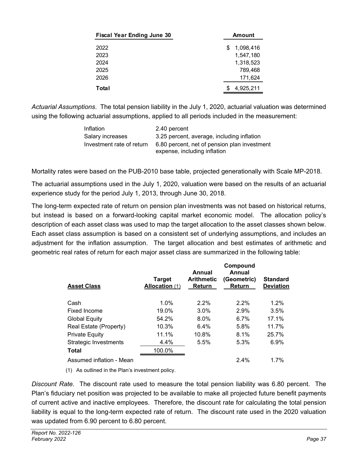| <b>Fiscal Year Ending June 30</b> | Amount         |
|-----------------------------------|----------------|
| 2022                              | 1,098,416<br>S |
| 2023                              | 1,547,180      |
| 2024                              | 1,318,523      |
| 2025                              | 789,468        |
| 2026                              | 171,624        |
| <b>Total</b>                      | 4,925,211      |

*Actuarial Assumptions*. The total pension liability in the July 1, 2020, actuarial valuation was determined using the following actuarial assumptions, applied to all periods included in the measurement:

| Inflation                 | 2.40 percent                                                                 |
|---------------------------|------------------------------------------------------------------------------|
| Salary increases          | 3.25 percent, average, including inflation                                   |
| Investment rate of return | 6.80 percent, net of pension plan investment<br>expense, including inflation |

Mortality rates were based on the PUB-2010 base table, projected generationally with Scale MP-2018.

The actuarial assumptions used in the July 1, 2020, valuation were based on the results of an actuarial experience study for the period July 1, 2013, through June 30, 2018.

The long-term expected rate of return on pension plan investments was not based on historical returns, but instead is based on a forward-looking capital market economic model. The allocation policy's description of each asset class was used to map the target allocation to the asset classes shown below. Each asset class assumption is based on a consistent set of underlying assumptions, and includes an adjustment for the inflation assumption. The target allocation and best estimates of arithmetic and geometric real rates of return for each major asset class are summarized in the following table:

| <b>Asset Class</b>           | <b>Target</b><br>Allocation (1) | Annual<br><b>Arithmetic</b><br><b>Return</b> | Compound<br>Annual<br>(Geometric)<br>Return | <b>Standard</b><br><b>Deviation</b> |
|------------------------------|---------------------------------|----------------------------------------------|---------------------------------------------|-------------------------------------|
| Cash                         | $1.0\%$                         | 2.2%                                         | 2.2%                                        | $1.2\%$                             |
| Fixed Income                 | 19.0%                           | $3.0\%$                                      | 2.9%                                        | 3.5%                                |
| <b>Global Equity</b>         | 54.2%                           | $8.0\%$                                      | 6.7%                                        | 17.1%                               |
| Real Estate (Property)       | 10.3%                           | 6.4%                                         | 5.8%                                        | 11.7%                               |
| <b>Private Equity</b>        | 11.1%                           | 10.8%                                        | 8.1%                                        | 25.7%                               |
| <b>Strategic Investments</b> | 4.4%                            | 5.5%                                         | 5.3%                                        | 6.9%                                |
| <b>Total</b>                 | 100.0%                          |                                              |                                             |                                     |
| Assumed inflation - Mean     |                                 |                                              | 2.4%                                        | 1.7%                                |

(1) As outlined in the Plan's investment policy.

*Discount Rate*. The discount rate used to measure the total pension liability was 6.80 percent. The Plan's fiduciary net position was projected to be available to make all projected future benefit payments of current active and inactive employees. Therefore, the discount rate for calculating the total pension liability is equal to the long-term expected rate of return. The discount rate used in the 2020 valuation was updated from 6.90 percent to 6.80 percent.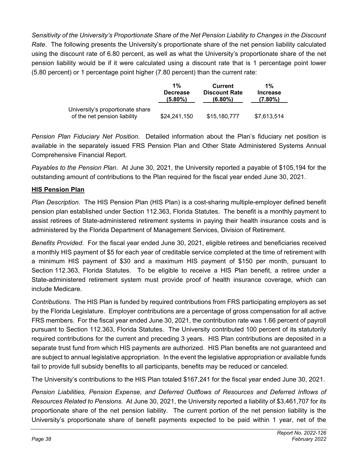*Sensitivity of the University's Proportionate Share of the Net Pension Liability to Changes in the Discount Rate*. The following presents the University's proportionate share of the net pension liability calculated using the discount rate of 6.80 percent, as well as what the University's proportionate share of the net pension liability would be if it were calculated using a discount rate that is 1 percentage point lower (5.80 percent) or 1 percentage point higher (7.80 percent) than the current rate:

|                                                                  | 1%              | <b>Current</b>       | $1\%$           |
|------------------------------------------------------------------|-----------------|----------------------|-----------------|
|                                                                  | <b>Decrease</b> | <b>Discount Rate</b> | <b>Increase</b> |
|                                                                  | $(5.80\%)$      | $(6.80\%)$           | $(7.80\%)$      |
| University's proportionate share<br>of the net pension liability | \$24,241,150    | \$15,180,777         | \$7,613,514     |

*Pension Plan Fiduciary Net Position*. Detailed information about the Plan's fiduciary net position is available in the separately issued FRS Pension Plan and Other State Administered Systems Annual Comprehensive Financial Report.

*Payables to the Pension Plan*. At June 30, 2021, the University reported a payable of \$105,194 for the outstanding amount of contributions to the Plan required for the fiscal year ended June 30, 2021.

## **HIS Pension Plan**

*Plan Description*. The HIS Pension Plan (HIS Plan) is a cost-sharing multiple-employer defined benefit pension plan established under Section 112.363, Florida Statutes. The benefit is a monthly payment to assist retirees of State-administered retirement systems in paying their health insurance costs and is administered by the Florida Department of Management Services, Division of Retirement.

*Benefits Provided*. For the fiscal year ended June 30, 2021, eligible retirees and beneficiaries received a monthly HIS payment of \$5 for each year of creditable service completed at the time of retirement with a minimum HIS payment of \$30 and a maximum HIS payment of \$150 per month, pursuant to Section 112.363, Florida Statutes. To be eligible to receive a HIS Plan benefit, a retiree under a State-administered retirement system must provide proof of health insurance coverage, which can include Medicare.

*Contributions*. The HIS Plan is funded by required contributions from FRS participating employers as set by the Florida Legislature. Employer contributions are a percentage of gross compensation for all active FRS members. For the fiscal year ended June 30, 2021, the contribution rate was 1.66 percent of payroll pursuant to Section 112.363, Florida Statutes. The University contributed 100 percent of its statutorily required contributions for the current and preceding 3 years. HIS Plan contributions are deposited in a separate trust fund from which HIS payments are authorized. HIS Plan benefits are not guaranteed and are subject to annual legislative appropriation. In the event the legislative appropriation or available funds fail to provide full subsidy benefits to all participants, benefits may be reduced or canceled.

The University's contributions to the HIS Plan totaled \$167,241 for the fiscal year ended June 30, 2021.

*Pension Liabilities, Pension Expense, and Deferred Outflows of Resources and Deferred Inflows of Resources Related to Pensions*. At June 30, 2021, the University reported a liability of \$3,461,707 for its proportionate share of the net pension liability. The current portion of the net pension liability is the University's proportionate share of benefit payments expected to be paid within 1 year, net of the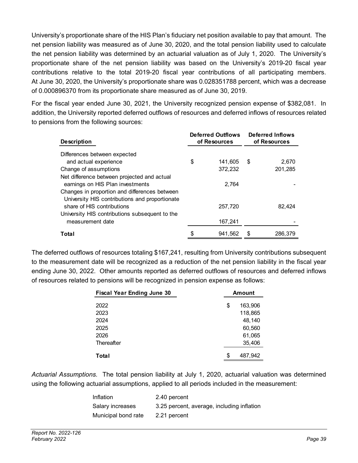University's proportionate share of the HIS Plan's fiduciary net position available to pay that amount. The net pension liability was measured as of June 30, 2020, and the total pension liability used to calculate the net pension liability was determined by an actuarial valuation as of July 1, 2020. The University's proportionate share of the net pension liability was based on the University's 2019-20 fiscal year contributions relative to the total 2019-20 fiscal year contributions of all participating members. At June 30, 2020, the University's proportionate share was 0.028351788 percent, which was a decrease of 0.000896370 from its proportionate share measured as of June 30, 2019.

For the fiscal year ended June 30, 2021, the University recognized pension expense of \$382,081. In addition, the University reported deferred outflows of resources and deferred inflows of resources related to pensions from the following sources:

| <b>Description</b>                             | <b>Deferred Outflows</b><br>of Resources | <b>Deferred Inflows</b><br>of Resources |
|------------------------------------------------|------------------------------------------|-----------------------------------------|
| Differences between expected                   |                                          |                                         |
| and actual experience                          | \$<br>141,605                            | \$<br>2,670                             |
| Change of assumptions                          | 372,232                                  | 201,285                                 |
| Net difference between projected and actual    |                                          |                                         |
| earnings on HIS Plan investments               | 2.764                                    |                                         |
| Changes in proportion and differences between  |                                          |                                         |
| University HIS contributions and proportionate |                                          |                                         |
| share of HIS contributions                     | 257,720                                  | 82,424                                  |
| University HIS contributions subsequent to the |                                          |                                         |
| measurement date                               | 167,241                                  |                                         |
| Total                                          | 941,562                                  | 286,379                                 |

The deferred outflows of resources totaling \$167,241, resulting from University contributions subsequent to the measurement date will be recognized as a reduction of the net pension liability in the fiscal year ending June 30, 2022. Other amounts reported as deferred outflows of resources and deferred inflows of resources related to pensions will be recognized in pension expense as follows:

| <b>Fiscal Year Ending June 30</b> | Amount |         |
|-----------------------------------|--------|---------|
| 2022                              | \$     | 163,906 |
| 2023                              |        | 118,865 |
| 2024                              |        | 48,140  |
| 2025                              |        | 60,560  |
| 2026                              |        | 61,065  |
| Thereafter                        |        | 35,406  |
| Total                             | S      | 487,942 |

*Actuarial Assumptions.* The total pension liability at July 1, 2020, actuarial valuation was determined using the following actuarial assumptions, applied to all periods included in the measurement:

| Inflation           | 2.40 percent                               |
|---------------------|--------------------------------------------|
| Salary increases    | 3.25 percent, average, including inflation |
| Municipal bond rate | 2.21 percent                               |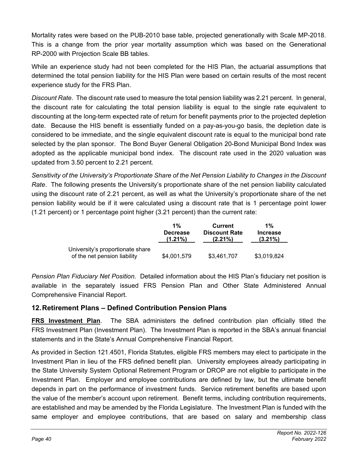Mortality rates were based on the PUB-2010 base table, projected generationally with Scale MP-2018. This is a change from the prior year mortality assumption which was based on the Generational RP-2000 with Projection Scale BB tables.

While an experience study had not been completed for the HIS Plan, the actuarial assumptions that determined the total pension liability for the HIS Plan were based on certain results of the most recent experience study for the FRS Plan.

*Discount Rate*. The discount rate used to measure the total pension liability was 2.21 percent. In general, the discount rate for calculating the total pension liability is equal to the single rate equivalent to discounting at the long-term expected rate of return for benefit payments prior to the projected depletion date. Because the HIS benefit is essentially funded on a pay-as-you-go basis, the depletion date is considered to be immediate, and the single equivalent discount rate is equal to the municipal bond rate selected by the plan sponsor. The Bond Buyer General Obligation 20-Bond Municipal Bond Index was adopted as the applicable municipal bond index. The discount rate used in the 2020 valuation was updated from 3.50 percent to 2.21 percent.

*Sensitivity of the University's Proportionate Share of the Net Pension Liability to Changes in the Discount Rate*. The following presents the University's proportionate share of the net pension liability calculated using the discount rate of 2.21 percent, as well as what the University's proportionate share of the net pension liability would be if it were calculated using a discount rate that is 1 percentage point lower (1.21 percent) or 1 percentage point higher (3.21 percent) than the current rate:

|                                                                  | 1%              | <b>Current</b>       | $1\%$           |
|------------------------------------------------------------------|-----------------|----------------------|-----------------|
|                                                                  | <b>Decrease</b> | <b>Discount Rate</b> | <b>Increase</b> |
|                                                                  | $(1.21\%)$      | $(2.21\%)$           | $(3.21\%)$      |
| University's proportionate share<br>of the net pension liability | \$4,001,579     | \$3,461,707          | \$3,019,824     |

*Pension Plan Fiduciary Net Position*. Detailed information about the HIS Plan's fiduciary net position is available in the separately issued FRS Pension Plan and Other State Administered Annual Comprehensive Financial Report.

## **12. Retirement Plans – Defined Contribution Pension Plans**

**FRS Investment Plan**. The SBA administers the defined contribution plan officially titled the FRS Investment Plan (Investment Plan). The Investment Plan is reported in the SBA's annual financial statements and in the State's Annual Comprehensive Financial Report.

As provided in Section 121.4501, Florida Statutes, eligible FRS members may elect to participate in the Investment Plan in lieu of the FRS defined benefit plan. University employees already participating in the State University System Optional Retirement Program or DROP are not eligible to participate in the Investment Plan. Employer and employee contributions are defined by law, but the ultimate benefit depends in part on the performance of investment funds. Service retirement benefits are based upon the value of the member's account upon retirement. Benefit terms, including contribution requirements, are established and may be amended by the Florida Legislature. The Investment Plan is funded with the same employer and employee contributions, that are based on salary and membership class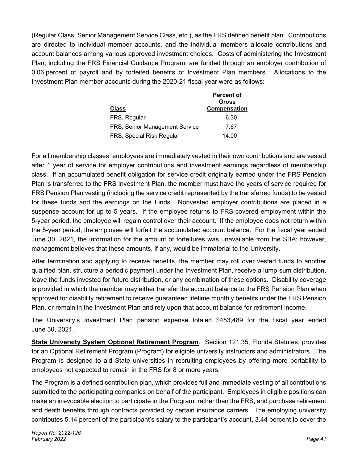(Regular Class, Senior Management Service Class, etc.), as the FRS defined benefit plan. Contributions are directed to individual member accounts, and the individual members allocate contributions and account balances among various approved investment choices. Costs of administering the Investment Plan, including the FRS Financial Guidance Program, are funded through an employer contribution of 0.06 percent of payroll and by forfeited benefits of Investment Plan members. Allocations to the Investment Plan member accounts during the 2020-21 fiscal year were as follows:

|                                | Percent of<br>Gross |
|--------------------------------|---------------------|
| <b>Class</b>                   | Compensation        |
| FRS, Regular                   | 6.30                |
| FRS, Senior Management Service | 7.67                |
| FRS, Special Risk Regular      | 14.00               |

For all membership classes, employees are immediately vested in their own contributions and are vested after 1 year of service for employer contributions and investment earnings regardless of membership class. If an accumulated benefit obligation for service credit originally earned under the FRS Pension Plan is transferred to the FRS Investment Plan, the member must have the years of service required for FRS Pension Plan vesting (including the service credit represented by the transferred funds) to be vested for these funds and the earnings on the funds. Nonvested employer contributions are placed in a suspense account for up to 5 years. If the employee returns to FRS-covered employment within the 5-year period, the employee will regain control over their account. If the employee does not return within the 5-year period, the employee will forfeit the accumulated account balance. For the fiscal year ended June 30, 2021, the information for the amount of forfeitures was unavailable from the SBA; however, management believes that these amounts, if any, would be immaterial to the University.

After termination and applying to receive benefits, the member may roll over vested funds to another qualified plan, structure a periodic payment under the Investment Plan, receive a lump-sum distribution, leave the funds invested for future distribution, or any combination of these options. Disability coverage is provided in which the member may either transfer the account balance to the FRS Pension Plan when approved for disability retirement to receive guaranteed lifetime monthly benefits under the FRS Pension Plan, or remain in the Investment Plan and rely upon that account balance for retirement income.

The University's Investment Plan pension expense totaled \$453,489 for the fiscal year ended June 30, 2021.

**State University System Optional Retirement Program**. Section 121.35, Florida Statutes, provides for an Optional Retirement Program (Program) for eligible university instructors and administrators. The Program is designed to aid State universities in recruiting employees by offering more portability to employees not expected to remain in the FRS for 8 or more years.

The Program is a defined contribution plan, which provides full and immediate vesting of all contributions submitted to the participating companies on behalf of the participant. Employees in eligible positions can make an irrevocable election to participate in the Program, rather than the FRS, and purchase retirement and death benefits through contracts provided by certain insurance carriers. The employing university contributes 5.14 percent of the participant's salary to the participant's account, 3.44 percent to cover the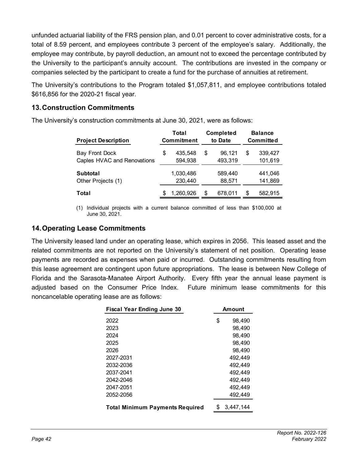unfunded actuarial liability of the FRS pension plan, and 0.01 percent to cover administrative costs, for a total of 8.59 percent, and employees contribute 3 percent of the employee's salary. Additionally, the employee may contribute, by payroll deduction, an amount not to exceed the percentage contributed by the University to the participant's annuity account. The contributions are invested in the company or companies selected by the participant to create a fund for the purchase of annuities at retirement.

The University's contributions to the Program totaled \$1,057,811, and employee contributions totaled \$616,856 for the 2020-21 fiscal year.

#### **13. Construction Commitments**

The University's construction commitments at June 30, 2021, were as follows:

| <b>Project Description</b>     |    | Total<br><b>Commitment</b> | <b>Completed</b><br>to Date | <b>Balance</b><br><b>Committed</b> |                    |  |
|--------------------------------|----|----------------------------|-----------------------------|------------------------------------|--------------------|--|
| Bay Front Dock                 | \$ | 435.548                    | \$<br>96.121                | \$                                 | 339,427            |  |
| Caples HVAC and Renovations    |    | 594,938                    | 493,319                     |                                    | 101,619            |  |
| Subtotal<br>Other Projects (1) |    | 1,030,486<br>230,440       | 589,440<br>88,571           |                                    | 441,046<br>141,869 |  |
| Total                          |    | 1,260,926                  | \$<br>678,011               | \$                                 | 582,915            |  |

(1) Individual projects with a current balance committed of less than \$100,000 at June 30, 2021.

#### **14. Operating Lease Commitments**

The University leased land under an operating lease, which expires in 2056. This leased asset and the related commitments are not reported on the University's statement of net position. Operating lease payments are recorded as expenses when paid or incurred. Outstanding commitments resulting from this lease agreement are contingent upon future appropriations. The lease is between New College of Florida and the Sarasota-Manatee Airport Authority. Every fifth year the annual lease payment is adjusted based on the Consumer Price Index. Future minimum lease commitments for this noncancelable operating lease are as follows:

| <b>Fiscal Year Ending June 30</b>      | <b>Amount</b> |           |  |  |
|----------------------------------------|---------------|-----------|--|--|
| 2022                                   | \$            | 98.490    |  |  |
| 2023                                   |               | 98,490    |  |  |
| 2024                                   |               | 98.490    |  |  |
| 2025                                   |               | 98,490    |  |  |
| 2026                                   |               | 98,490    |  |  |
| 2027-2031                              |               | 492.449   |  |  |
| 2032-2036                              |               | 492,449   |  |  |
| 2037-2041                              |               | 492.449   |  |  |
| 2042-2046                              |               | 492.449   |  |  |
| 2047-2051                              |               | 492.449   |  |  |
| 2052-2056                              |               | 492,449   |  |  |
| <b>Total Minimum Payments Required</b> |               | 3.447.144 |  |  |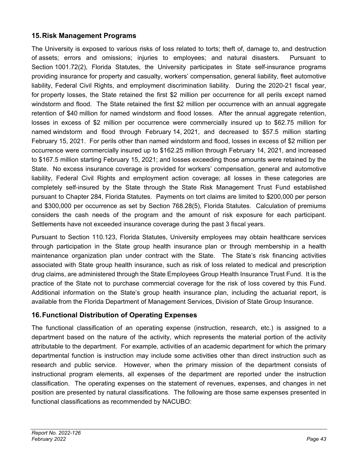## **15. Risk Management Programs**

The University is exposed to various risks of loss related to torts; theft of, damage to, and destruction of assets; errors and omissions; injuries to employees; and natural disasters. Pursuant to Section 1001.72(2), Florida Statutes, the University participates in State self-insurance programs providing insurance for property and casualty, workers' compensation, general liability, fleet automotive liability, Federal Civil Rights, and employment discrimination liability. During the 2020-21 fiscal year, for property losses, the State retained the first \$2 million per occurrence for all perils except named windstorm and flood. The State retained the first \$2 million per occurrence with an annual aggregate retention of \$40 million for named windstorm and flood losses. After the annual aggregate retention, losses in excess of \$2 million per occurrence were commercially insured up to \$62.75 million for named windstorm and flood through February 14, 2021, and decreased to \$57.5 million starting February 15, 2021. For perils other than named windstorm and flood, losses in excess of \$2 million per occurrence were commercially insured up to \$162.25 million through February 14, 2021, and increased to \$167.5 million starting February 15, 2021; and losses exceeding those amounts were retained by the State. No excess insurance coverage is provided for workers' compensation, general and automotive liability, Federal Civil Rights and employment action coverage; all losses in these categories are completely self-insured by the State through the State Risk Management Trust Fund established pursuant to Chapter 284, Florida Statutes. Payments on tort claims are limited to \$200,000 per person and \$300,000 per occurrence as set by Section 768.28(5), Florida Statutes. Calculation of premiums considers the cash needs of the program and the amount of risk exposure for each participant. Settlements have not exceeded insurance coverage during the past 3 fiscal years.

Pursuant to Section 110.123, Florida Statutes, University employees may obtain healthcare services through participation in the State group health insurance plan or through membership in a health maintenance organization plan under contract with the State. The State's risk financing activities associated with State group health insurance, such as risk of loss related to medical and prescription drug claims, are administered through the State Employees Group Health Insurance Trust Fund. It is the practice of the State not to purchase commercial coverage for the risk of loss covered by this Fund. Additional information on the State's group health insurance plan, including the actuarial report, is available from the Florida Department of Management Services, Division of State Group Insurance.

## **16. Functional Distribution of Operating Expenses**

The functional classification of an operating expense (instruction, research, etc.) is assigned to a department based on the nature of the activity, which represents the material portion of the activity attributable to the department. For example, activities of an academic department for which the primary departmental function is instruction may include some activities other than direct instruction such as research and public service. However, when the primary mission of the department consists of instructional program elements, all expenses of the department are reported under the instruction classification. The operating expenses on the statement of revenues, expenses, and changes in net position are presented by natural classifications. The following are those same expenses presented in functional classifications as recommended by NACUBO: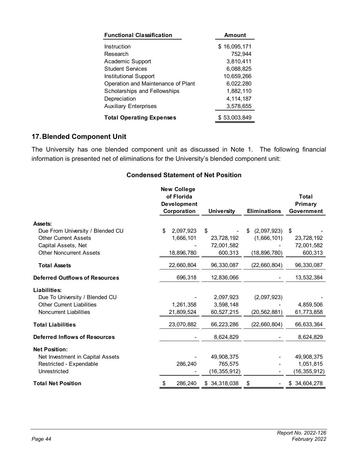| <b>Functional Classification</b>   | Amount       |
|------------------------------------|--------------|
| Instruction                        | \$16.095.171 |
| Research                           | 752,944      |
| Academic Support                   | 3,810,411    |
| <b>Student Services</b>            | 6,088,825    |
| Institutional Support              | 10,659,266   |
| Operation and Maintenance of Plant | 6,022,280    |
| Scholarships and Fellowships       | 1,882,110    |
| Depreciation                       | 4, 114, 187  |
| <b>Auxiliary Enterprises</b>       | 3,578,655    |
| <b>Total Operating Expenses</b>    | \$53.003.849 |

## **17. Blended Component Unit**

The University has one blended component unit as discussed in Note 1. The following financial information is presented net of eliminations for the University's blended component unit:

#### **Condensed Statement of Net Position**

|                                       | <b>New College</b><br>of Florida<br>Development<br>Corporation | <b>University</b> | <b>Eliminations</b> | <b>Total</b><br>Primary<br>Government |
|---------------------------------------|----------------------------------------------------------------|-------------------|---------------------|---------------------------------------|
| Assets:                               |                                                                |                   |                     |                                       |
| Due From University / Blended CU      | \$<br>2,097,923                                                | \$                | (2,097,923)<br>\$   | \$                                    |
| <b>Other Current Assets</b>           | 1,666,101                                                      | 23,728,192        | (1,666,101)         | 23,728,192                            |
| Capital Assets, Net                   |                                                                | 72,001,582        |                     | 72,001,582                            |
| <b>Other Noncurrent Assets</b>        | 18,896,780                                                     | 600,313           | (18, 896, 780)      | 600,313                               |
| <b>Total Assets</b>                   | 22,660,804                                                     | 96,330,087        | (22,660,804)        | 96,330,087                            |
| <b>Deferred Outflows of Resources</b> | 696,318                                                        | 12,836,066        |                     | 13,532,384                            |
| Liabilities:                          |                                                                |                   |                     |                                       |
| Due To University / Blended CU        |                                                                | 2,097,923         | (2,097,923)         |                                       |
| <b>Other Current Liabilities</b>      | 1,261,358                                                      | 3,598,148         |                     | 4,859,506                             |
| <b>Noncurrent Liabilities</b>         | 21,809,524                                                     | 60,527,215        | (20, 562, 881)      | 61,773,858                            |
| <b>Total Liabilities</b>              | 23,070,882                                                     | 66,223,286        | (22,660,804)        | 66,633,364                            |
| <b>Deferred Inflows of Resources</b>  |                                                                | 8,624,829         |                     | 8,624,829                             |
| <b>Net Position:</b>                  |                                                                |                   |                     |                                       |
| Net Investment in Capital Assets      |                                                                | 49,908,375        |                     | 49,908,375                            |
| Restricted - Expendable               | 286,240                                                        | 765,575           |                     | 1,051,815                             |
| Unrestricted                          |                                                                | (16, 355, 912)    |                     | (16, 355, 912)                        |
| <b>Total Net Position</b>             | 286,240<br>\$                                                  | 34,318,038<br>\$  | \$                  | 34,604,278<br>\$                      |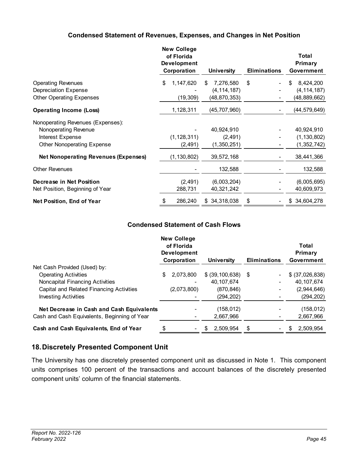#### **Condensed Statement of Revenues, Expenses, and Changes in Net Position**

|                                             | <b>New College</b><br>of Florida<br><b>Development</b><br>Corporation | <b>University</b> | <b>Eliminations</b> | Total<br><b>Primary</b><br>Government |
|---------------------------------------------|-----------------------------------------------------------------------|-------------------|---------------------|---------------------------------------|
| <b>Operating Revenues</b>                   | \$<br>1,147,620                                                       | 7,276,580<br>\$   | \$                  | 8,424,200<br>S                        |
| <b>Depreciation Expense</b>                 |                                                                       | (4, 114, 187)     |                     | (4, 114, 187)                         |
| <b>Other Operating Expenses</b>             | (19, 309)                                                             | (48, 870, 353)    |                     | (48, 889, 662)                        |
| <b>Operating Income (Loss)</b>              | 1,128,311                                                             | (45, 707, 960)    |                     | (44, 579, 649)                        |
| Nonoperating Revenues (Expenses):           |                                                                       |                   |                     |                                       |
| Nonoperating Revenue                        |                                                                       | 40,924,910        |                     | 40,924,910                            |
| Interest Expense                            | (1, 128, 311)                                                         | (2, 491)          |                     | (1, 130, 802)                         |
| <b>Other Nonoperating Expense</b>           | (2, 491)                                                              | (1,350,251)       |                     | (1, 352, 742)                         |
| <b>Net Nonoperating Revenues (Expenses)</b> | (1, 130, 802)                                                         | 39,572,168        |                     | 38,441,366                            |
| <b>Other Revenues</b>                       |                                                                       | 132,588           |                     | 132,588                               |
| Decrease in Net Position                    | (2, 491)                                                              | (6,003,204)       |                     | (6,005,695)                           |
| Net Position, Beginning of Year             | 288,731                                                               | 40,321,242        |                     | 40,609,973                            |
| Net Position, End of Year                   | \$<br>286,240                                                         | \$34,318,038      | \$                  | \$34,604,278                          |

#### **Condensed Statement of Cash Flows**

|                                              | <b>New College</b><br>of Florida<br><b>Development</b><br>Corporation |             | <b>University</b> |                   | <b>Eliminations</b> |   | Total<br>Primary<br>Government |
|----------------------------------------------|-----------------------------------------------------------------------|-------------|-------------------|-------------------|---------------------|---|--------------------------------|
| Net Cash Provided (Used) by:                 |                                                                       |             |                   |                   |                     |   |                                |
| <b>Operating Activities</b>                  | \$                                                                    | 2,073,800   |                   | \$ (39, 100, 638) | \$                  |   | \$ (37,026,838)                |
| Noncapital Financing Activities              |                                                                       |             |                   | 40.107.674        |                     |   | 40,107,674                     |
| Capital and Related Financing Activities     |                                                                       | (2,073,800) |                   | (870, 846)        |                     |   | (2,944,646)                    |
| <b>Investing Activities</b>                  |                                                                       |             |                   | (294, 202)        |                     |   | (294, 202)                     |
| Net Decrease in Cash and Cash Equivalents    |                                                                       |             |                   | (158, 012)        |                     |   | (158, 012)                     |
| Cash and Cash Equivalents, Beginning of Year |                                                                       |             |                   | 2,667,966         |                     |   | 2,667,966                      |
| Cash and Cash Equivalents, End of Year       | \$                                                                    | ۰           |                   | 2.509.954         | \$                  | S | 2.509.954                      |

## **18. Discretely Presented Component Unit**

The University has one discretely presented component unit as discussed in Note 1. This component units comprises 100 percent of the transactions and account balances of the discretely presented component units' column of the financial statements.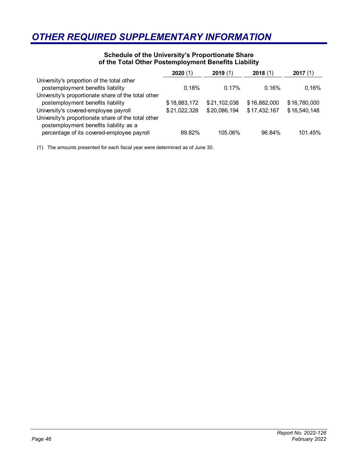## <span id="page-49-0"></span>*OTHER REQUIRED SUPPLEMENTARY INFORMATION*

#### **Schedule of the University's Proportionate Share of the Total Other Postemployment Benefits Liability**

|                                                     | 2020(1)      | 2019(1)      | 2018(1)      | 2017(1)      |
|-----------------------------------------------------|--------------|--------------|--------------|--------------|
| University's proportion of the total other          |              |              |              |              |
| postemployment benefits liability                   | 0.18%        | $0.17\%$     | 0.16%        | 0.16%        |
| University's proportionate share of the total other |              |              |              |              |
| postemployment benefits liability                   | \$18,883,172 | \$21,102,038 | \$16,882,000 | \$16,780,000 |
| University's covered-employee payroll               | \$21,022,328 | \$20,086,194 | \$17,432,167 | \$16,540,148 |
| University's proportionate share of the total other |              |              |              |              |
| postemployment benefits liability as a              |              |              |              |              |
| percentage of its covered-employee payroll          | 89.82%       | 105.06%      | 96.84%       | 101.45%      |

(1) The amounts presented for each fiscal year were determined as of June 30.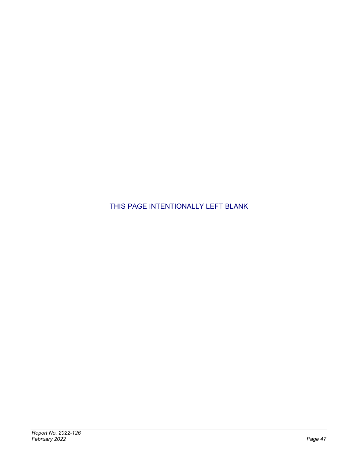THIS PAGE INTENTIONALLY LEFT BLANK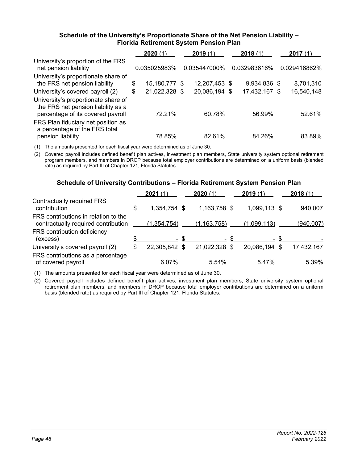#### **Schedule of the University's Proportionate Share of the Net Pension Liability – Florida Retirement System Pension Plan**

<span id="page-51-0"></span>

|                                                                                                                | 2020(1)             | 2019(1)       | 2018(1)       | 2017(1)      |
|----------------------------------------------------------------------------------------------------------------|---------------------|---------------|---------------|--------------|
| University's proportion of the FRS<br>net pension liability<br>University's proportionate share of             | 0.035025983%        | 0.035447000%  | 0.032983616%  | 0.029416862% |
| the FRS net pension liability                                                                                  | \$<br>15,180,777 \$ | 12,207,453 \$ | 9,934,836 \$  | 8,701,310    |
| University's covered payroll (2)                                                                               | \$<br>21,022,328 \$ | 20,086,194 \$ | 17,432,167 \$ | 16,540,148   |
| University's proportionate share of<br>the FRS net pension liability as a<br>percentage of its covered payroll | 72.21%              | 60.78%        | 56.99%        | 52.61%       |
| FRS Plan fiduciary net position as<br>a percentage of the FRS total<br>pension liability                       | 78.85%              | 82.61%        | 84.26%        | 83.89%       |

(1) The amounts presented for each fiscal year were determined as of June 30.

(2) Covered payroll includes defined benefit plan actives, investment plan members, State university system optional retirement program members, and members in DROP because total employer contributions are determined on a uniform basis (blended rate) as required by Part III of Chapter 121, Florida Statutes.

#### **Schedule of University Contributions – Florida Retirement System Pension Plan**

|                                                                             |    | 2021(1)       | 2020(1)       | 2019(1)      | 2018(1)          |
|-----------------------------------------------------------------------------|----|---------------|---------------|--------------|------------------|
| Contractually required FRS<br>contribution                                  | S  | 1,354,754 \$  | 1,163,758 \$  | 1,099,113 \$ | 940,007          |
| FRS contributions in relation to the<br>contractually required contribution |    | (1, 354, 754) | (1, 163, 758) | (1,099,113)  | (940,007)        |
| FRS contribution deficiency<br>(excess)                                     |    |               |               |              |                  |
| University's covered payroll (2)<br>FRS contributions as a percentage       | \$ | 22,305,842 \$ | 21,022,328 \$ | 20,086,194   | \$<br>17,432,167 |
| of covered payroll                                                          |    | 6.07%         | 5.54%         | 5.47%        | 5.39%            |

(1) The amounts presented for each fiscal year were determined as of June 30.

(2) Covered payroll includes defined benefit plan actives, investment plan members, State university system optional retirement plan members, and members in DROP because total employer contributions are determined on a uniform basis (blended rate) as required by Part III of Chapter 121, Florida Statutes.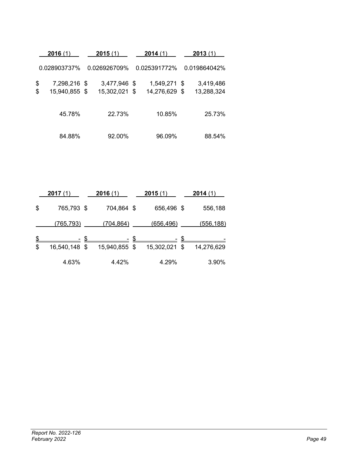| 2016(1) |               | 2015(1)      |      | 2014(1)       | 2013 (1      |
|---------|---------------|--------------|------|---------------|--------------|
|         | 0.028903737%  | 0.026926709% |      | 0.025391772%  | 0.019864042% |
| \$      | 7,298,216 \$  | 3,477,946 \$ |      | 1,549,271 \$  | 3,419,486    |
| \$      | 15,940,855 \$ | 15,302,021   | - \$ | 14,276,629 \$ | 13,288,324   |
|         | 45.78%        | 22.73%       |      | 10.85%        | 25.73%       |
|         | 84.88%        | 92.00%       |      | 96.09%        | 88.54%       |

| 2017(1)             |     | 2016(1)       |   | 2015(1)       | 2014(1)    |
|---------------------|-----|---------------|---|---------------|------------|
| \$<br>765,793 \$    |     | 704,864 \$    |   | 656,496 \$    | 556,188    |
| (765, 793)          |     | (704, 864)    |   | (656, 496)    | (556,188)  |
|                     | - S |               | S |               |            |
| \$<br>16,540,148 \$ |     | 15,940,855 \$ |   | 15,302,021 \$ | 14,276,629 |
| 4.63%               |     | 4.42%         |   | 4.29%         | 3.90%      |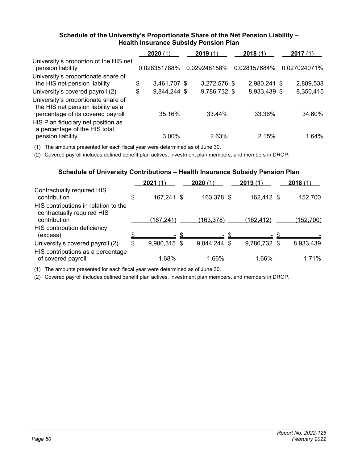#### **Schedule of the University's Proportionate Share of the Net Pension Liability – Health Insurance Subsidy Pension Plan**

<span id="page-53-0"></span>

|                                                                                                                | 2020 (1)           | 2019(1)      | 2018(1)      | 2017(1)      |
|----------------------------------------------------------------------------------------------------------------|--------------------|--------------|--------------|--------------|
| University's proportion of the HIS net<br>pension liability<br>University's proportionate share of             | 0.028351788%       | 0.029248158% | 0.028157684% | 0.027024071% |
| the HIS net pension liability                                                                                  | \$<br>3,461,707 \$ | 3,272,576 \$ | 2,980,241 \$ | 2,889,538    |
| University's covered payroll (2)                                                                               | \$<br>9,844,244 \$ | 9,786,732 \$ | 8,933,439 \$ | 8,350,415    |
| University's proportionate share of<br>the HIS net pension liability as a<br>percentage of its covered payroll | 35.16%             | 33.44%       | 33.36%       | 34.60%       |
| HIS Plan fiduciary net position as<br>a percentage of the HIS total<br>pension liability                       | $3.00\%$           | 2.63%        | 2.15%        | 1.64%        |

(1) The amounts presented for each fiscal year were determined as of June 30.

(2) Covered payroll includes defined benefit plan actives, investment plan members, and members in DROP.

#### **Schedule of University Contributions – Health Insurance Subsidy Pension Plan**

|                                                                    | 2021(1)            | 2020(1)      | 2019(1)      | 2018(1)    |
|--------------------------------------------------------------------|--------------------|--------------|--------------|------------|
| Contractually required HIS<br>contribution                         | \$<br>167,241 \$   | 163,378 \$   | 162,412 \$   | 152,700    |
| HIS contributions in relation to the<br>contractually required HIS |                    |              |              |            |
| contribution                                                       | (167,241)          | (163, 378)   | (162, 412)   | (152, 700) |
| HIS contribution deficiency<br>(excess)                            |                    |              |              |            |
| University's covered payroll (2)                                   | \$<br>9,980,315 \$ | 9,844,244 \$ | 9,786,732 \$ | 8,933,439  |
| HIS contributions as a percentage<br>of covered payroll            | 1.68%              | 1.66%        | 1.66%        | 1.71%      |

(1) The amounts presented for each fiscal year were determined as of June 30.

(2) Covered payroll includes defined benefit plan actives, investment plan members, and members in DROP.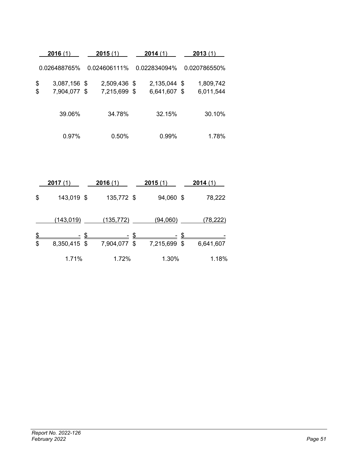|          | 2016(1)                      | 2015(1)                      | 2014(1) |                              |  | 2013(1)                |  |  |  |
|----------|------------------------------|------------------------------|---------|------------------------------|--|------------------------|--|--|--|
|          | 0.026488765%                 | 0.024606111%                 |         | 0.022834094%                 |  | 0.020786550%           |  |  |  |
| \$<br>\$ | 3,087,156 \$<br>7,904,077 \$ | 2,509,436 \$<br>7,215,699 \$ |         | 2,135,044 \$<br>6,641,607 \$ |  | 1,809,742<br>6,011,544 |  |  |  |
|          | 39.06%                       | 34.78%                       |         | 32.15%                       |  | 30.10%                 |  |  |  |
|          | 0.97%                        | 0.50%                        |         | 0.99%                        |  | 1.78%                  |  |  |  |

| 2017(1)            | 2016(1)      |      | 2015(1)      |      | 2014(1)   |
|--------------------|--------------|------|--------------|------|-----------|
| \$<br>143,019 \$   | 135,772 \$   |      | 94,060 \$    |      | 78,222    |
| (143, 019)         | (135, 772)   |      | (94,060)     |      | (78,222)  |
|                    | - \$         | - \$ |              | - \$ |           |
| \$<br>8,350,415 \$ | 7,904,077 \$ |      | 7,215,699 \$ |      | 6,641,607 |
| 1.71%              | 1.72%        |      | 1.30%        |      | 1.18%     |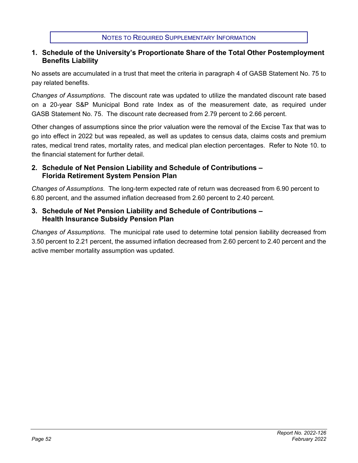## <span id="page-55-0"></span>**1. Schedule of the University's Proportionate Share of the Total Other Postemployment Benefits Liability**

No assets are accumulated in a trust that meet the criteria in paragraph 4 of GASB Statement No. 75 to pay related benefits.

*Changes of Assumptions*. The discount rate was updated to utilize the mandated discount rate based on a 20-year S&P Municipal Bond rate Index as of the measurement date, as required under GASB Statement No. 75. The discount rate decreased from 2.79 percent to 2.66 percent.

Other changes of assumptions since the prior valuation were the removal of the Excise Tax that was to go into effect in 2022 but was repealed, as well as updates to census data, claims costs and premium rates, medical trend rates, mortality rates, and medical plan election percentages. Refer to Note 10. to the financial statement for further detail.

#### **2. Schedule of Net Pension Liability and Schedule of Contributions – Florida Retirement System Pension Plan**

*Changes of Assumptions*. The long-term expected rate of return was decreased from 6.90 percent to 6.80 percent, and the assumed inflation decreased from 2.60 percent to 2.40 percent.

#### **3. Schedule of Net Pension Liability and Schedule of Contributions – Health Insurance Subsidy Pension Plan**

*Changes of Assumptions*. The municipal rate used to determine total pension liability decreased from 3.50 percent to 2.21 percent, the assumed inflation decreased from 2.60 percent to 2.40 percent and the active member mortality assumption was updated.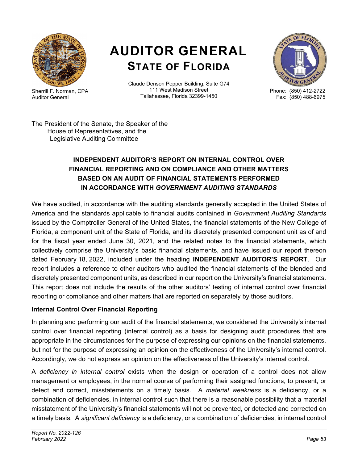<span id="page-56-0"></span>

Sherrill F. Norman, CPA Auditor General

# **AUDITOR GENERAL STATE OF FLORIDA**

Claude Denson Pepper Building, Suite G74 111 West Madison Street Tallahassee, Florida 32399-1450



Phone: (850) 412-2722 Fax: (850) 488-6975

The President of the Senate, the Speaker of the House of Representatives, and the Legislative Auditing Committee

## **INDEPENDENT AUDITOR'S REPORT ON INTERNAL CONTROL OVER FINANCIAL REPORTING AND ON COMPLIANCE AND OTHER MATTERS BASED ON AN AUDIT OF FINANCIAL STATEMENTS PERFORMED IN ACCORDANCE WITH** *GOVERNMENT AUDITING STANDARDS*

We have audited, in accordance with the auditing standards generally accepted in the United States of America and the standards applicable to financial audits contained in *Government Auditing Standards* issued by the Comptroller General of the United States, the financial statements of the New College of Florida, a component unit of the State of Florida, and its discretely presented component unit as of and for the fiscal year ended June 30, 2021, and the related notes to the financial statements, which collectively comprise the University's basic financial statements, and have issued our report thereon dated February 18, 2022, included under the heading **INDEPENDENT AUDITOR'S REPORT**. Our report includes a reference to other auditors who audited the financial statements of the blended and discretely presented component units, as described in our report on the University's financial statements. This report does not include the results of the other auditors' testing of internal control over financial reporting or compliance and other matters that are reported on separately by those auditors.

## **Internal Control Over Financial Reporting**

In planning and performing our audit of the financial statements, we considered the University's internal control over financial reporting (internal control) as a basis for designing audit procedures that are appropriate in the circumstances for the purpose of expressing our opinions on the financial statements, but not for the purpose of expressing an opinion on the effectiveness of the University's internal control. Accordingly, we do not express an opinion on the effectiveness of the University's internal control.

A *deficiency in internal control* exists when the design or operation of a control does not allow management or employees, in the normal course of performing their assigned functions, to prevent, or detect and correct, misstatements on a timely basis. A *material weakness* is a deficiency, or a combination of deficiencies, in internal control such that there is a reasonable possibility that a material misstatement of the University's financial statements will not be prevented, or detected and corrected on a timely basis. A *significant deficiency* is a deficiency, or a combination of deficiencies, in internal control